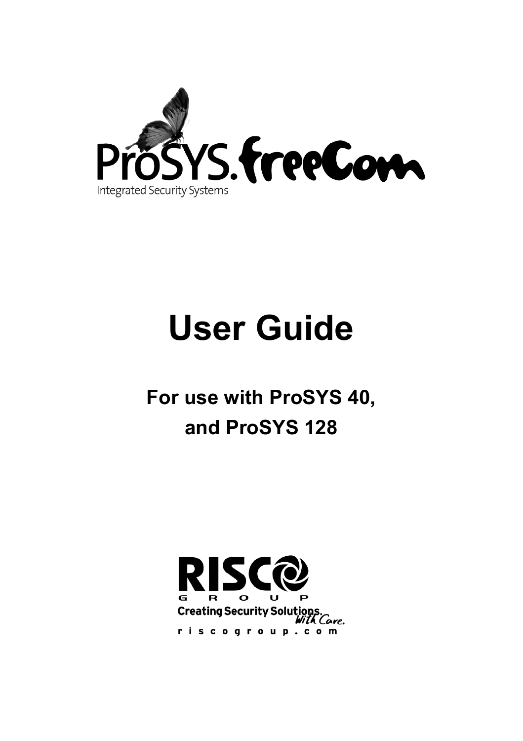

# **User Guide**

# **For use with ProSYS 40, and ProSYS 128**

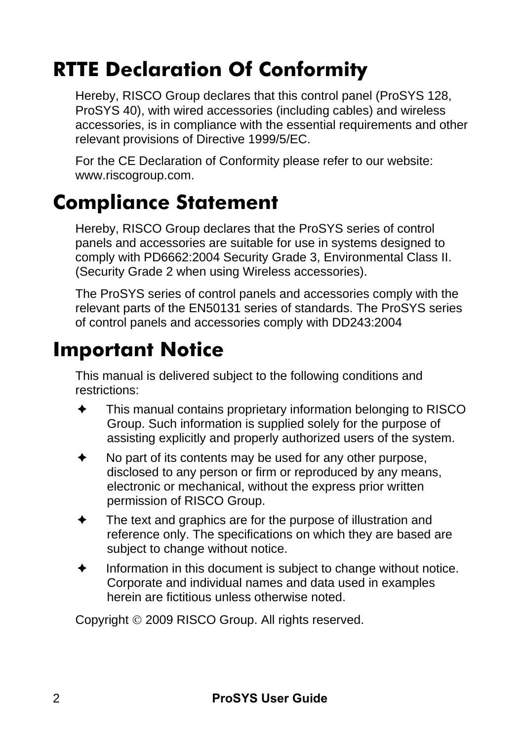# **RTTE Declaration Of Conformity**

Hereby, RISCO Group declares that this control panel (ProSYS 128, ProSYS 40), with wired accessories (including cables) and wireless accessories, is in compliance with the essential requirements and other relevant provisions of Directive 1999/5/EC.

For the CE Declaration of Conformity please refer to our website: www.riscogroup.com.

## **Compliance Statement**

Hereby, RISCO Group declares that the ProSYS series of control panels and accessories are suitable for use in systems designed to comply with PD6662:2004 Security Grade 3, Environmental Class II. (Security Grade 2 when using Wireless accessories).

The ProSYS series of control panels and accessories comply with the relevant parts of the EN50131 series of standards. The ProSYS series of control panels and accessories comply with DD243:2004

## **Important Notice**

This manual is delivered subject to the following conditions and restrictions:

- $\blacklozenge$  This manual contains proprietary information belonging to RISCO Group. Such information is supplied solely for the purpose of assisting explicitly and properly authorized users of the system.
- No part of its contents may be used for any other purpose, disclosed to any person or firm or reproduced by any means, electronic or mechanical, without the express prior written permission of RISCO Group.
- The text and graphics are for the purpose of illustration and reference only. The specifications on which they are based are subject to change without notice.
- $\triangleleft$  Information in this document is subject to change without notice. Corporate and individual names and data used in examples herein are fictitious unless otherwise noted.

Copyright © 2009 RISCO Group. All rights reserved.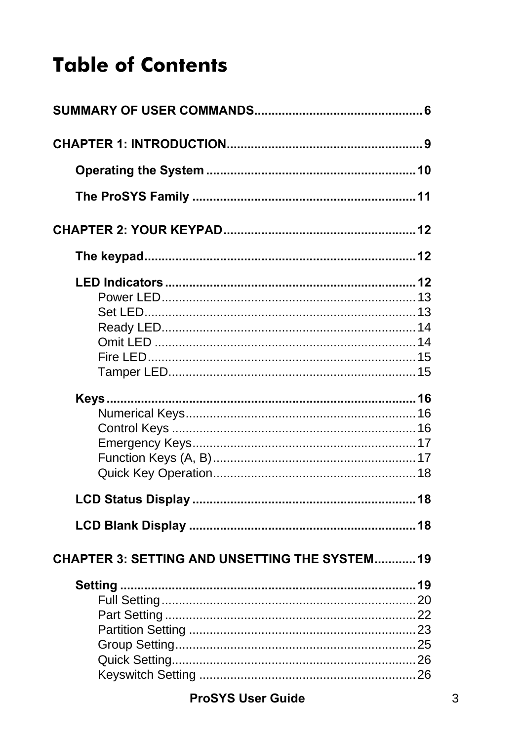# **Table of Contents**

| <b>CHAPTER 3: SETTING AND UNSETTING THE SYSTEM 19</b> |  |
|-------------------------------------------------------|--|
|                                                       |  |
|                                                       |  |
|                                                       |  |
|                                                       |  |
|                                                       |  |
|                                                       |  |
|                                                       |  |
|                                                       |  |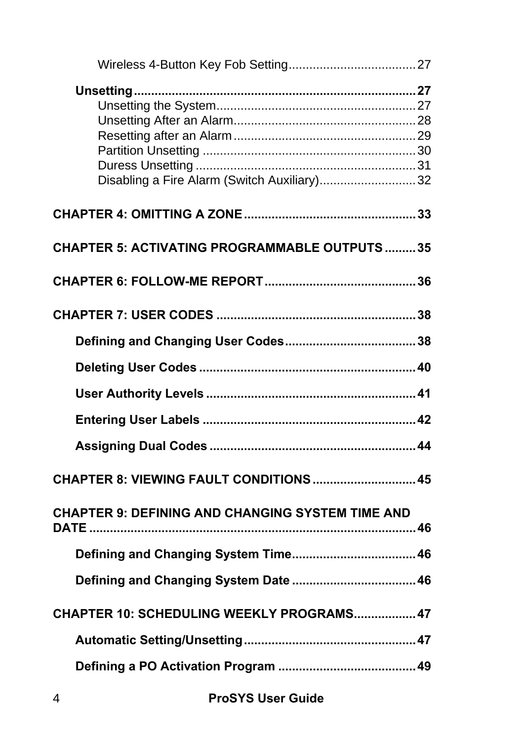| Disabling a Fire Alarm (Switch Auxiliary)32             |  |
|---------------------------------------------------------|--|
|                                                         |  |
| <b>CHAPTER 5: ACTIVATING PROGRAMMABLE OUTPUTS 35</b>    |  |
|                                                         |  |
|                                                         |  |
|                                                         |  |
|                                                         |  |
|                                                         |  |
|                                                         |  |
|                                                         |  |
| CHAPTER 8: VIEWING FAULT CONDITIONS  45                 |  |
| <b>CHAPTER 9: DEFINING AND CHANGING SYSTEM TIME AND</b> |  |
|                                                         |  |
|                                                         |  |
| CHAPTER 10: SCHEDULING WEEKLY PROGRAMS 47               |  |
|                                                         |  |
|                                                         |  |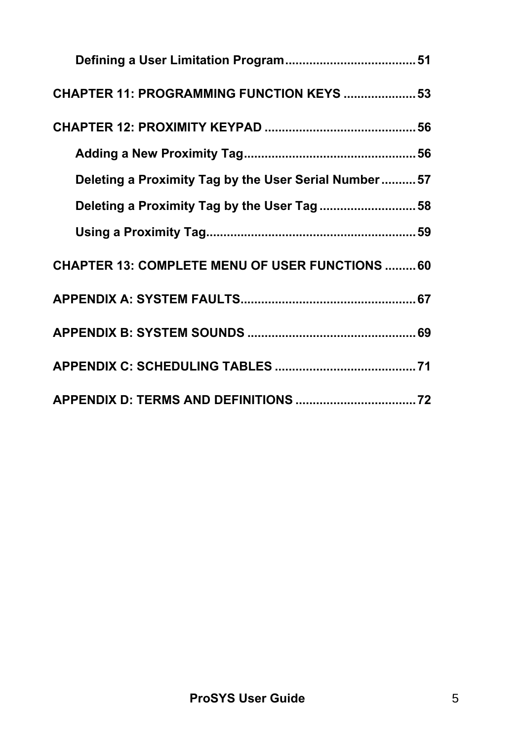| CHAPTER 11: PROGRAMMING FUNCTION KEYS  53              |
|--------------------------------------------------------|
|                                                        |
|                                                        |
| Deleting a Proximity Tag by the User Serial Number57   |
| Deleting a Proximity Tag by the User Tag 58            |
|                                                        |
| <b>CHAPTER 13: COMPLETE MENU OF USER FUNCTIONS  60</b> |
|                                                        |
|                                                        |
|                                                        |
|                                                        |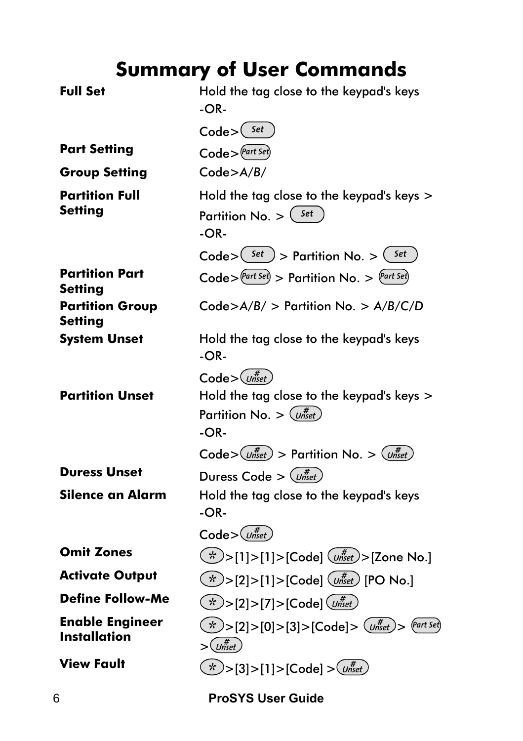# **Summary of User Commands**

| Hold the tag close to the keypad's keys<br>$-OR-$                                                                                           |
|---------------------------------------------------------------------------------------------------------------------------------------------|
| $Code{Set}$                                                                                                                                 |
| $Code$ <sup><math>(Part Set)</math></sup>                                                                                                   |
| Code>A/B/                                                                                                                                   |
| Hold the tag close to the keypad's keys ><br>Partition No. $>$ $($ <sup>Set</sup><br>$-OR-$                                                 |
| Code> $\binom{Set}{}$ > Partition No. > $\binom{Set}{}$<br>Set                                                                              |
| Code> $\left(\text{Part Set}\right)$ > Partition No. > $\left(\text{Part Set}\right)$                                                       |
| $Code>A/B/$ > Partition No. > $A/B/C/D$                                                                                                     |
| Hold the tag close to the keypad's keys<br>$-OR-$                                                                                           |
| $\mathsf{Code}\leftarrow(\mathit{Uniset}')$<br>Hold the tag close to the keypad's keys ><br>Partition No. > $(w_{\text{nset}}^*)$<br>$-OR-$ |
| Code> $(w_{nset}^{\#})$ > Partition No. > $(w_{nset}^{\#})$                                                                                 |
| Duress Code > $(w_{nset}^{\#})$                                                                                                             |
| Hold the tag close to the keypad's keys<br>-OR-                                                                                             |
| $\mathsf{Code}\text{>}(\textit{Uniset})$                                                                                                    |
| (*)>[1]>[1]>[Code] ( $\frac{m}{2}$ //mset)>[Zone No.]                                                                                       |
| (*)>[2]>[1]>[Code] $(\text{unset})$ [PO No.]                                                                                                |
| $(x^{*}) > [2] > [7] > [Code] (Un*Set)$                                                                                                     |
| $(x^{*}) > [2] > [0] > [3] > [Code] > (u^{#}_{nset}) > (Part Set)$<br>$>(\mathsf{Un}^{\#}_{\mathsf{set}})$                                  |
| $(x^{*}) >  3  >  1  >  $ Code] $>(\text{Uniset})$                                                                                          |
|                                                                                                                                             |

6 **ProSYS User Guide**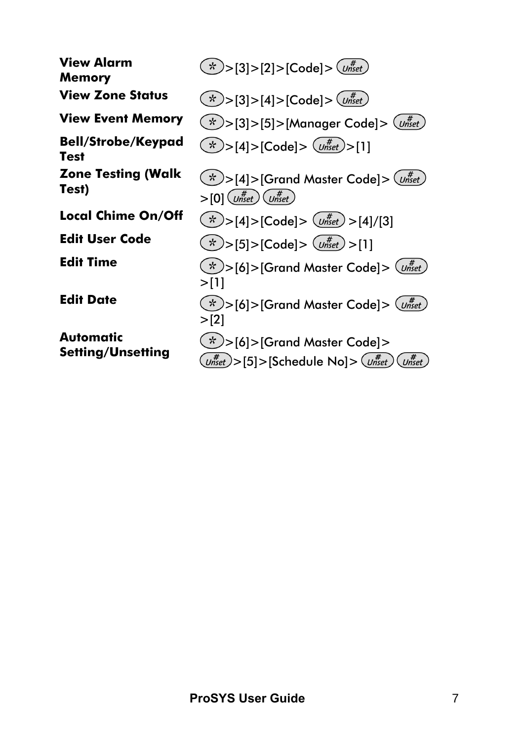| <b>View Alarm</b><br>Memory        | * > [3] > [2] > [Code] > $(\frac{\#}{w\text{nset}})$                                                                                                                                                                              |
|------------------------------------|-----------------------------------------------------------------------------------------------------------------------------------------------------------------------------------------------------------------------------------|
| <b>View Zone Status</b>            | (*) > [3] > [4] > [Code] > $(w_{nset}^{\#})$                                                                                                                                                                                      |
| <b>View Event Memory</b>           | (*)>[3]>[5]>[Manager Code]> $(w_{\textit{nset}}^{\#})$                                                                                                                                                                            |
| <b>Bell/Strobe/Keypad</b><br>Test  | $(*)$ >[4]>[Code]> $(w_{nset}^{#})$ >[1]                                                                                                                                                                                          |
| <b>Zone Testing (Walk</b><br>Test) | $(\star)$ >[4]>[Grand Master Code]> $(\omega_{nset}^{\#})$<br>$>$ [0] $\left(\begin{smallmatrix} U & \# \ U & \text{mset} \end{smallmatrix}\right)$ $\left(\begin{smallmatrix} U & \# \ U & \text{mset} \end{smallmatrix}\right)$ |
| <b>Local Chime On/Off</b>          | (*) > [4] > [Code] > $(w_{\text{nset}}^{\#})$ > [4]/[3]                                                                                                                                                                           |
| <b>Edit User Code</b>              | $(*)$ >[5]>[Code]> $(w_{nset}^{#})$ >[1]                                                                                                                                                                                          |
| <b>Edit Time</b>                   | $\mathbb{R}^*\mathbb{R}$ >[6]>[Grand Master Code]> $\mathbb{R}^*\mathbb{R}$<br>>[1]                                                                                                                                               |
| <b>Edit Date</b>                   | *)>[6]>[Grand Master Code]> $(w_{nset}^*)$<br>> [2]                                                                                                                                                                               |
| Automatic                          | *)>[6]>[Grand Master Code]>                                                                                                                                                                                                       |
| Setting/Unsetting                  | $\left(\text{Unif.}\right) > [5] > [S$ chedule No $] > \left(\text{Unif.}\right)$<br>$\mathsf{Un}^{\#}_{\mathsf{set}}$                                                                                                            |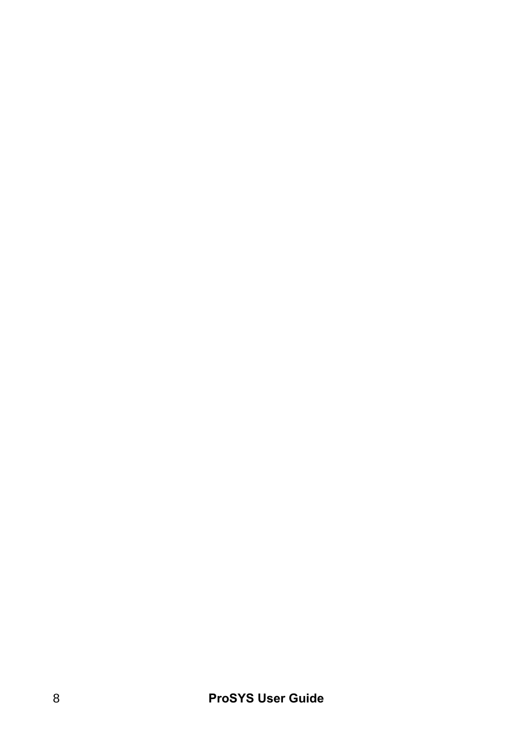**ProSYS User Guide**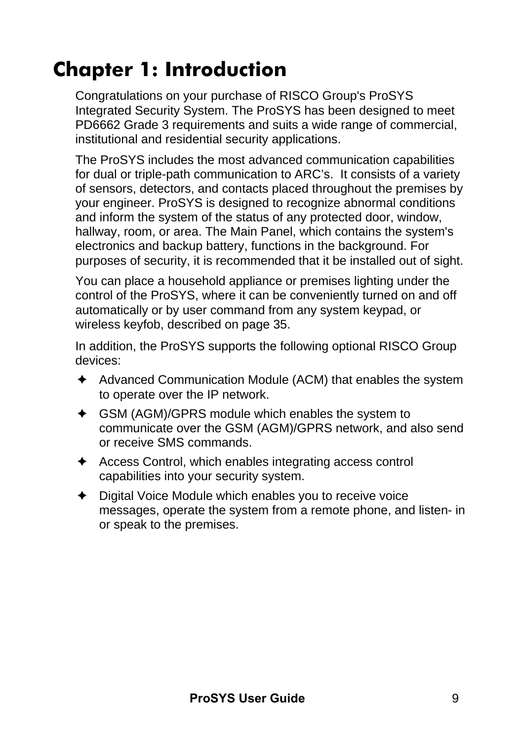## **Chapter 1: Introduction**

Congratulations on your purchase of RISCO Group's ProSYS Integrated Security System. The ProSYS has been designed to meet PD6662 Grade 3 requirements and suits a wide range of commercial, institutional and residential security applications.

The ProSYS includes the most advanced communication capabilities for dual or triple-path communication to ARC's. It consists of a variety of sensors, detectors, and contacts placed throughout the premises by your engineer. ProSYS is designed to recognize abnormal conditions and inform the system of the status of any protected door, window, hallway, room, or area. The Main Panel, which contains the system's electronics and backup battery, functions in the background. For purposes of security, it is recommended that it be installed out of sight.

You can place a household appliance or premises lighting under the control of the ProSYS, where it can be conveniently turned on and off automatically or by user command from any system keypad, or wireless keyfob, described on page 35.

In addition, the ProSYS supports the following optional RISCO Group devices:

- $\triangleleft$  Advanced Communication Module (ACM) that enables the system to operate over the IP network.
- $\triangleleft$  GSM (AGM)/GPRS module which enables the system to communicate over the GSM (AGM)/GPRS network, and also send or receive SMS commands.
- $\triangle$  Access Control, which enables integrating access control capabilities into your security system.
- $\triangle$  Digital Voice Module which enables you to receive voice messages, operate the system from a remote phone, and listen- in or speak to the premises.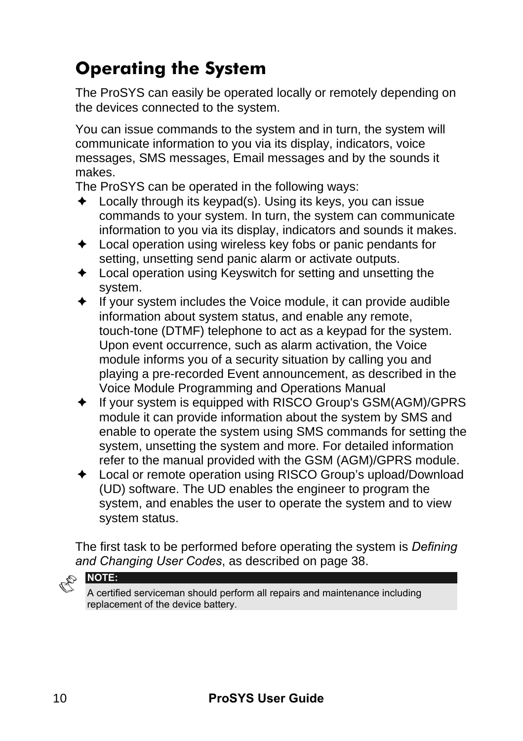## **Operating the System**

The ProSYS can easily be operated locally or remotely depending on the devices connected to the system.

You can issue commands to the system and in turn, the system will communicate information to you via its display, indicators, voice messages, SMS messages, Email messages and by the sounds it makes.

The ProSYS can be operated in the following ways:

- $\triangle$  Locally through its keypad(s). Using its keys, you can issue commands to your system. In turn, the system can communicate information to you via its display, indicators and sounds it makes.
- $\triangle$  Local operation using wireless key fobs or panic pendants for setting, unsetting send panic alarm or activate outputs.
- $\triangle$  Local operation using Keyswitch for setting and unsetting the system.
- $\triangleq$  If your system includes the Voice module, it can provide audible information about system status, and enable any remote, touch-tone (DTMF) telephone to act as a keypad for the system. Upon event occurrence, such as alarm activation, the Voice module informs you of a security situation by calling you and playing a pre-recorded Event announcement, as described in the Voice Module Programming and Operations Manual
- ♦ If your system is equipped with RISCO Group's GSM(AGM)/GPRS module it can provide information about the system by SMS and enable to operate the system using SMS commands for setting the system, unsetting the system and more. For detailed information refer to the manual provided with the GSM (AGM)/GPRS module.
- ◆ Local or remote operation using RISCO Group's upload/Download (UD) software. The UD enables the engineer to program the system, and enables the user to operate the system and to view system status.

The first task to be performed before operating the system is *Defining and Changing User Codes*, as described on page 38.



A certified serviceman should perform all repairs and maintenance including replacement of the device battery.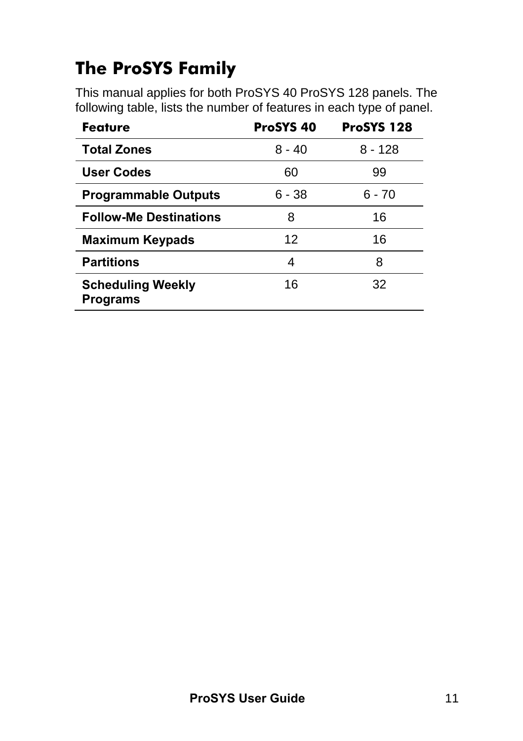## **The ProSYS Family**

This manual applies for both ProSYS 40 ProSYS 128 panels. The following table, lists the number of features in each type of panel.

| <b>Feature</b>                              | ProSYS <sub>40</sub> | ProSYS 128 |
|---------------------------------------------|----------------------|------------|
| <b>Total Zones</b>                          | 8 - 40               | 8 - 128    |
| <b>User Codes</b>                           | 60                   | 99         |
| <b>Programmable Outputs</b>                 | 6 - 38               | $6 - 70$   |
| <b>Follow-Me Destinations</b>               | 8                    | 16         |
| <b>Maximum Keypads</b>                      | 12                   | 16         |
| <b>Partitions</b>                           | 4                    | 8          |
| <b>Scheduling Weekly</b><br><b>Programs</b> | 16                   | 32         |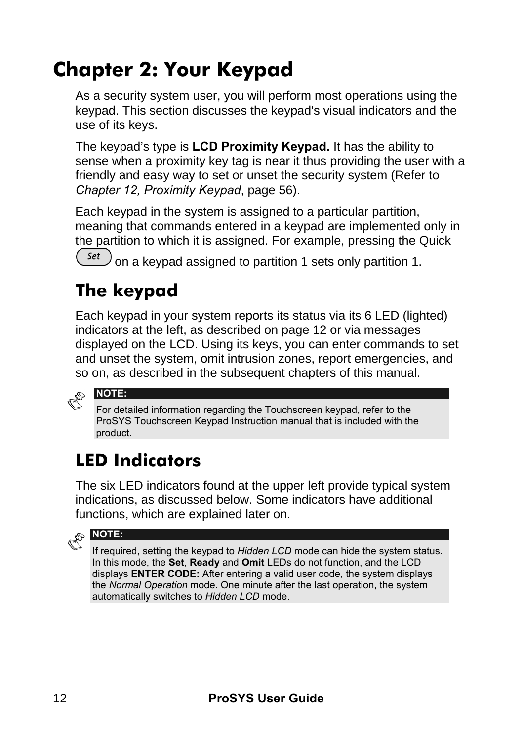## **Chapter 2: Your Keypad**

As a security system user, you will perform most operations using the keypad. This section discusses the keypad's visual indicators and the use of its keys.

The keypad's type is **LCD Proximity Keypad.** It has the ability to sense when a proximity key tag is near it thus providing the user with a friendly and easy way to set or unset the security system (Refer to *Chapter 12, Proximity Keypad*, page 56).

Each keypad in the system is assigned to a particular partition, meaning that commands entered in a keypad are implemented only in the partition to which it is assigned. For example, pressing the Quick

on a keypad assigned to partition 1 sets only partition 1.

## **The keypad**

Each keypad in your system reports its status via its 6 LED (lighted) indicators at the left, as described on page 12 or via messages displayed on the LCD. Using its keys, you can enter commands to set and unset the system, omit intrusion zones, report emergencies, and so on, as described in the subsequent chapters of this manual.



**NOTE:** 

For detailed information regarding the Touchscreen keypad, refer to the ProSYS Touchscreen Keypad Instruction manual that is included with the product.

## **LED Indicators**

The six LED indicators found at the upper left provide typical system indications, as discussed below. Some indicators have additional functions, which are explained later on.



**NOTE:** 

If required, setting the keypad to *Hidden LCD* mode can hide the system status. In this mode, the **Set**, **Ready** and **Omit** LEDs do not function, and the LCD displays **ENTER CODE:** After entering a valid user code, the system displays the *Normal Operation* mode. One minute after the last operation, the system automatically switches to *Hidden LCD* mode.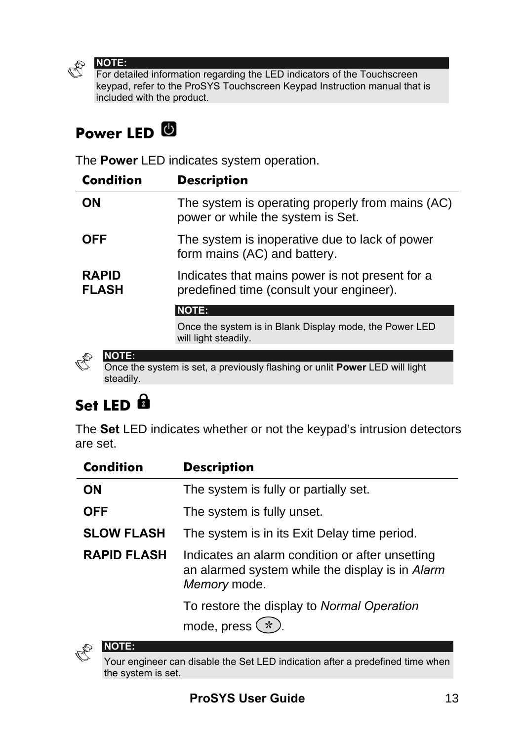

**NOTE:**  For detailed information regarding the LED indicators of the Touchscreen keypad, refer to the ProSYS Touchscreen Keypad Instruction manual that is included with the product.

### **Power LED**

The **Power** LED indicates system operation.

| Condition                    | <b>Description</b>                                                                          |
|------------------------------|---------------------------------------------------------------------------------------------|
| ON                           | The system is operating properly from mains (AC)<br>power or while the system is Set.       |
| <b>OFF</b>                   | The system is inoperative due to lack of power<br>form mains (AC) and battery.              |
| <b>RAPID</b><br><b>FLASH</b> | Indicates that mains power is not present for a<br>predefined time (consult your engineer). |
|                              | <b>NOTE:</b>                                                                                |
|                              | Once the system is in Blank Display mode, the Power LED<br>will light steadily.             |
| <b>NOTE:</b>                 |                                                                                             |
|                              | Once the system is set, a previously flashing or unlit <b>Power</b> LED will light          |

Once the system is set, a previously flashing or unlit **Power** LED will light steadily.

## **Set LED**

The **Set** LED indicates whether or not the keypad's intrusion detectors are set.

| Condition          | <b>Description</b>                                                                                                 |
|--------------------|--------------------------------------------------------------------------------------------------------------------|
| ON                 | The system is fully or partially set.                                                                              |
| <b>OFF</b>         | The system is fully unset.                                                                                         |
| <b>SLOW FLASH</b>  | The system is in its Exit Delay time period.                                                                       |
| <b>RAPID FLASH</b> | Indicates an alarm condition or after unsetting<br>an alarmed system while the display is in Alarm<br>Memory mode. |
|                    | To restore the display to Normal Operation<br>mode, press (                                                        |



**NOTE:** 

Your engineer can disable the Set LED indication after a predefined time when the system is set.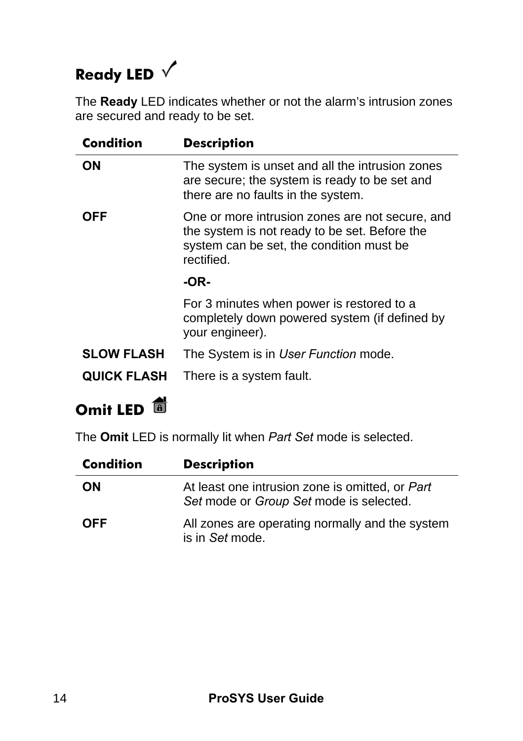# **Ready LED**

The **Ready** LED indicates whether or not the alarm's intrusion zones are secured and ready to be set.

| Condition          | <b>Description</b>                                                                                                                                         |
|--------------------|------------------------------------------------------------------------------------------------------------------------------------------------------------|
| ΟN                 | The system is unset and all the intrusion zones<br>are secure; the system is ready to be set and<br>there are no faults in the system.                     |
| OFF                | One or more intrusion zones are not secure, and<br>the system is not ready to be set. Before the<br>system can be set, the condition must be<br>rectified. |
|                    | -OR-                                                                                                                                                       |
|                    | For 3 minutes when power is restored to a<br>completely down powered system (if defined by<br>your engineer).                                              |
| <b>SLOW FLASH</b>  | The System is in User Function mode.                                                                                                                       |
| <b>QUICK FLASH</b> | There is a system fault.                                                                                                                                   |
|                    |                                                                                                                                                            |

### **Omit LED**

The **Omit** LED is normally lit when *Part Set* mode is selected.

| Condition  | <b>Description</b>                                                                         |
|------------|--------------------------------------------------------------------------------------------|
| <b>ON</b>  | At least one intrusion zone is omitted, or Part<br>Set mode or Group Set mode is selected. |
| <b>OFF</b> | All zones are operating normally and the system<br>is in Set mode.                         |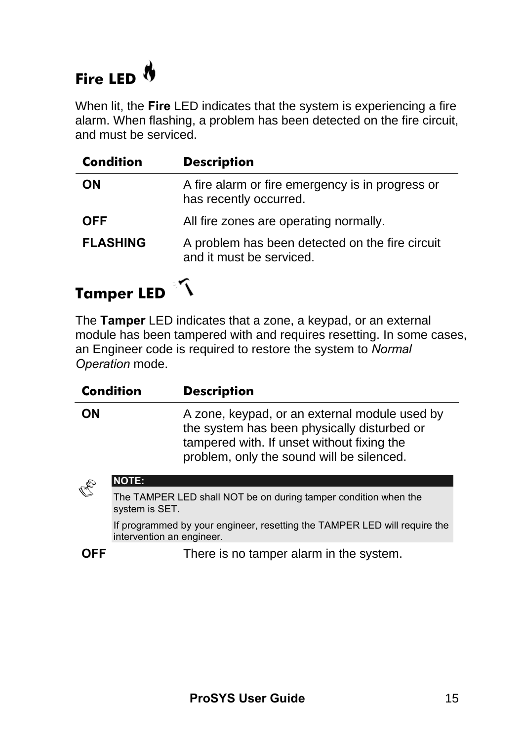# **Fire LED**

When lit, the **Fire** LED indicates that the system is experiencing a fire alarm. When flashing, a problem has been detected on the fire circuit, and must be serviced.

| <b>Condition</b> | <b>Description</b>                                                          |
|------------------|-----------------------------------------------------------------------------|
| OΝ               | A fire alarm or fire emergency is in progress or<br>has recently occurred.  |
| <b>OFF</b>       | All fire zones are operating normally.                                      |
| <b>FLASHING</b>  | A problem has been detected on the fire circuit<br>and it must be serviced. |
|                  |                                                                             |

### **Tamper LED**

The **Tamper** LED indicates that a zone, a keypad, or an external module has been tampered with and requires resetting. In some cases, an Engineer code is required to restore the system to *Normal Operation* mode.

|    | <b>Condition</b>          | <b>Description</b>                                                                                                                                                                      |
|----|---------------------------|-----------------------------------------------------------------------------------------------------------------------------------------------------------------------------------------|
| ON |                           | A zone, keypad, or an external module used by<br>the system has been physically disturbed or<br>tampered with. If unset without fixing the<br>problem, only the sound will be silenced. |
| ♢  | <b>NOTE:</b>              |                                                                                                                                                                                         |
|    | system is SET.            | The TAMPER LED shall NOT be on during tamper condition when the                                                                                                                         |
|    | intervention an engineer. | If programmed by your engineer, resetting the TAMPER LED will require the                                                                                                               |
|    |                           | There is no tamper alarm in the system.                                                                                                                                                 |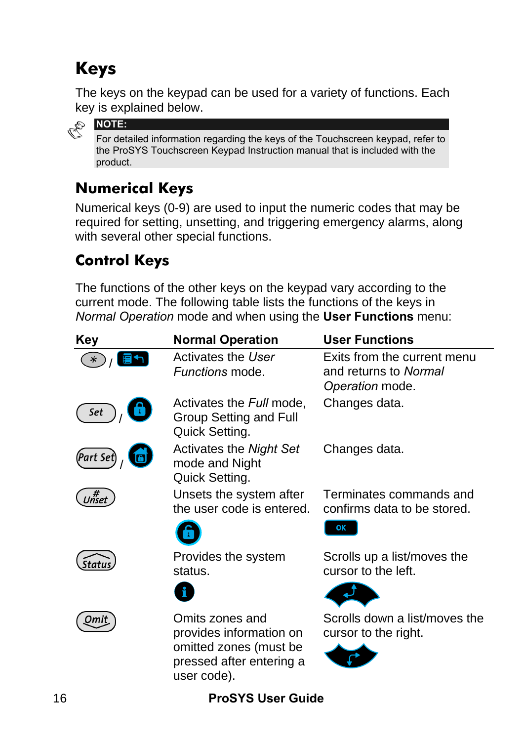## **Keys**

The keys on the keypad can be used for a variety of functions. Each key is explained below.



For detailed information regarding the keys of the Touchscreen keypad, refer to the ProSYS Touchscreen Keypad Instruction manual that is included with the product.

### **Numerical Keys**

Numerical keys (0-9) are used to input the numeric codes that may be required for setting, unsetting, and triggering emergency alarms, along with several other special functions.

### **Control Keys**

The functions of the other keys on the keypad vary according to the current mode. The following table lists the functions of the keys in *Normal Operation* mode and when using the **User Functions** menu:

| <b>Key</b> | <b>Normal Operation</b>                                                                                         | <b>User Functions</b>                                                   |
|------------|-----------------------------------------------------------------------------------------------------------------|-------------------------------------------------------------------------|
| $\ast$     | Activates the User<br><i>Functions</i> mode.                                                                    | Exits from the current menu<br>and returns to Normal<br>Operation mode. |
| Set        | Activates the Full mode,<br>Group Setting and Full<br>Quick Setting.                                            | Changes data.                                                           |
| (Part Set) | Activates the Night Set<br>mode and Night<br>Quick Setting.                                                     | Changes data.                                                           |
| y#set      | Unsets the system after<br>the user code is entered.                                                            | Terminates commands and<br>confirms data to be stored.<br>ОK            |
|            | Provides the system<br>status.                                                                                  | Scrolls up a list/moves the<br>cursor to the left.                      |
|            | Omits zones and<br>provides information on<br>omitted zones (must be<br>pressed after entering a<br>user code). | Scrolls down a list/moves the<br>cursor to the right.                   |

16 **ProSYS User Guide**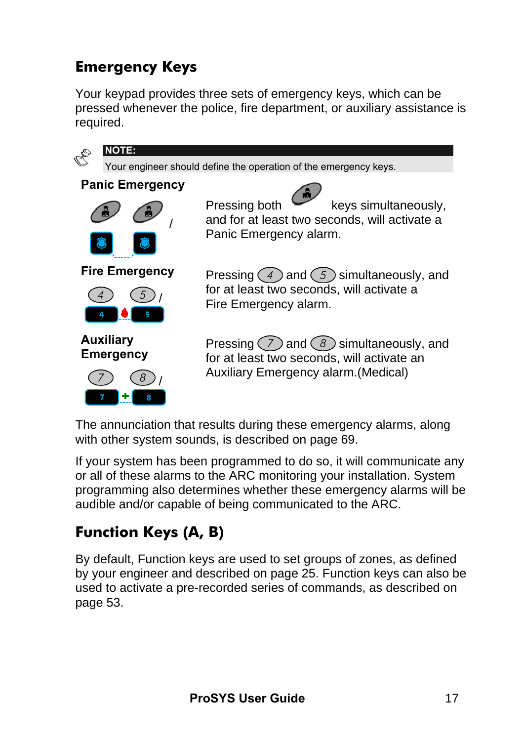### **Emergency Keys**

Your keypad provides three sets of emergency keys, which can be pressed whenever the police, fire department, or auxiliary assistance is required.



The annunciation that results during these emergency alarms, along with other system sounds, is described on page 69*.* 

If your system has been programmed to do so, it will communicate any or all of these alarms to the ARC monitoring your installation. System programming also determines whether these emergency alarms will be audible and/or capable of being communicated to the ARC.

### **Function Keys (A, B)**

By default, Function keys are used to set groups of zones, as defined by your engineer and described on page 25. Function keys can also be used to activate a pre-recorded series of commands, as described on page 53.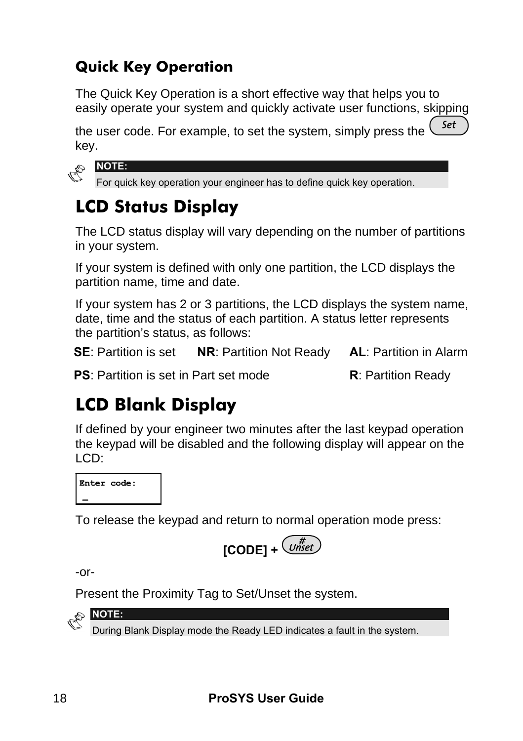### **Quick Key Operation**

The Quick Key Operation is a short effective way that helps you to easily operate your system and quickly activate user functions, skipping

Set the user code. For example, to set the system, simply press the  $($ key.



For quick key operation your engineer has to define quick key operation.

### **LCD Status Display**

The LCD status display will vary depending on the number of partitions in your system.

If your system is defined with only one partition, the LCD displays the partition name, time and date.

If your system has 2 or 3 partitions, the LCD displays the system name, date, time and the status of each partition. A status letter represents the partition's status, as follows:

**SE**: Partition is set **NR**: Partition Not Ready **AL**: Partition in Alarm

**PS**: Partition is set in Part set mode **R**: Partition Ready

### **LCD Blank Display**

If defined by your engineer two minutes after the last keypad operation the keypad will be disabled and the following display will appear on the LCD:



To release the keypad and return to normal operation mode press:

[CODE] + 
$$
\overline{Unset}
$$

-or-

Present the Proximity Tag to Set/Unset the system.



During Blank Display mode the Ready LED indicates a fault in the system.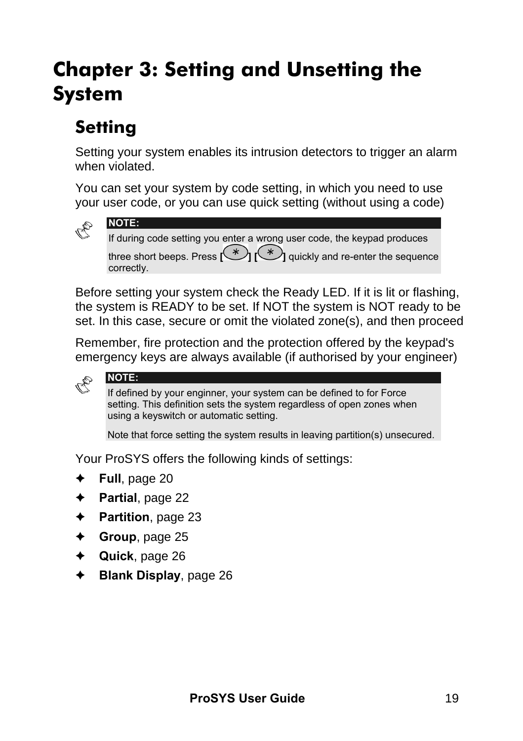# **Chapter 3: Setting and Unsetting the System**

### **Setting**

Setting your system enables its intrusion detectors to trigger an alarm when violated

You can set your system by code setting, in which you need to use your user code, or you can use quick setting (without using a code)



**NOTE:**  If during code setting you enter a wrong user code, the keypad produces three short beeps. Press  $\binom{*}{1}$   $\binom{*}{1}$  quickly and re-enter the sequence correctly.

Before setting your system check the Ready LED. If it is lit or flashing, the system is READY to be set. If NOT the system is NOT ready to be set. In this case, secure or omit the violated zone(s), and then proceed

Remember, fire protection and the protection offered by the keypad's emergency keys are always available (if authorised by your engineer)



### **NOTE:**

If defined by your enginner, your system can be defined to for Force setting. This definition sets the system regardless of open zones when using a keyswitch or automatic setting.

Note that force setting the system results in leaving partition(s) unsecured.

Your ProSYS offers the following kinds of settings:

- Full, page 20
- **← Partial**, page 22
- **← Partition**, page 23
- ◆ Group, page 25
- ◆ Quick, page 26
- **Blank Display, page 26**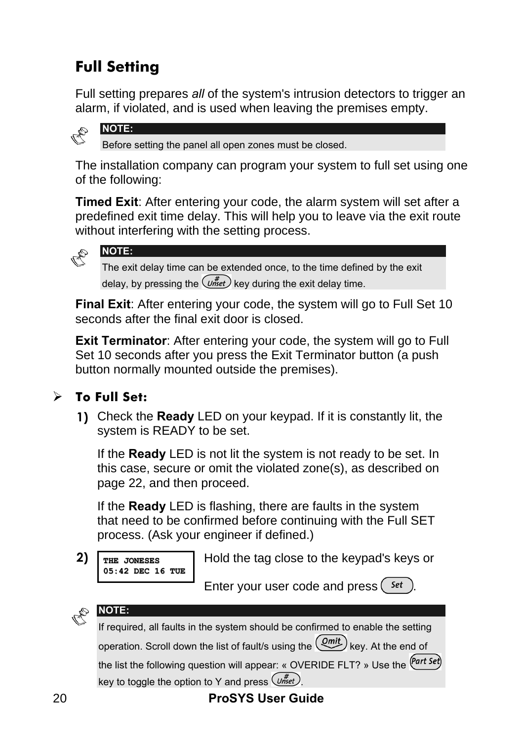### **Full Setting**

Full setting prepares *all* of the system's intrusion detectors to trigger an alarm, if violated, and is used when leaving the premises empty.



Before setting the panel all open zones must be closed.

The installation company can program your system to full set using one of the following:

**Timed Exit:** After entering your code, the alarm system will set after a predefined exit time delay. This will help you to leave via the exit route without interfering with the setting process.



**NOTE:** 

The exit delay time can be extended once, to the time defined by the exit delay, by pressing the  $(\overline{U_{n}}^{\#})$  key during the exit delay time.

**Final Exit**: After entering your code, the system will go to Full Set 10 seconds after the final exit door is closed.

**Exit Terminator:** After entering your code, the system will go to Full Set 10 seconds after you press the Exit Terminator button (a push button normally mounted outside the premises).

#### $\blacktriangleright$ **To Full Set:**

**1)** Check the **Ready** LED on your keypad. If it is constantly lit, the system is READY to be set.

If the **Ready** LED is not lit the system is not ready to be set. In this case, secure or omit the violated zone(s), as described on page 22, and then proceed.

If the **Ready** LED is flashing, there are faults in the system that need to be confirmed before continuing with the Full SET process. (Ask your engineer if defined.)



Hold the tag close to the keypad's keys or

Enter your user code and press  $($  set



### **NOTE:**

| If required, all faults in the system should be confirmed to enable the setting                        |
|--------------------------------------------------------------------------------------------------------|
| operation. Scroll down the list of fault/s using the $\overline{\mathcal{Q}_{mit}}$ key. At the end of |
| the list the following question will appear: « OVERIDE FLT? » Use the <sup>(Part Set</sup> )           |
| key to toggle the option to Y and press $(\overline{w_{\text{mset}}^{\#}})$ .                          |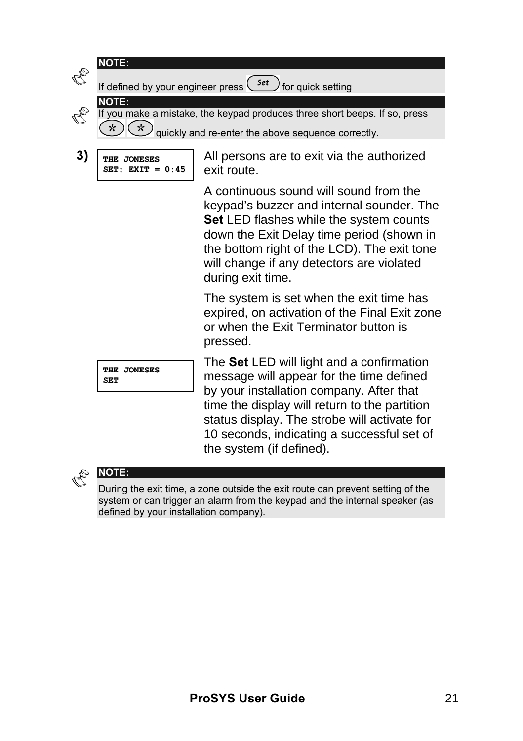



### **NOTE:**

During the exit time, a zone outside the exit route can prevent setting of the system or can trigger an alarm from the keypad and the internal speaker (as defined by your installation company).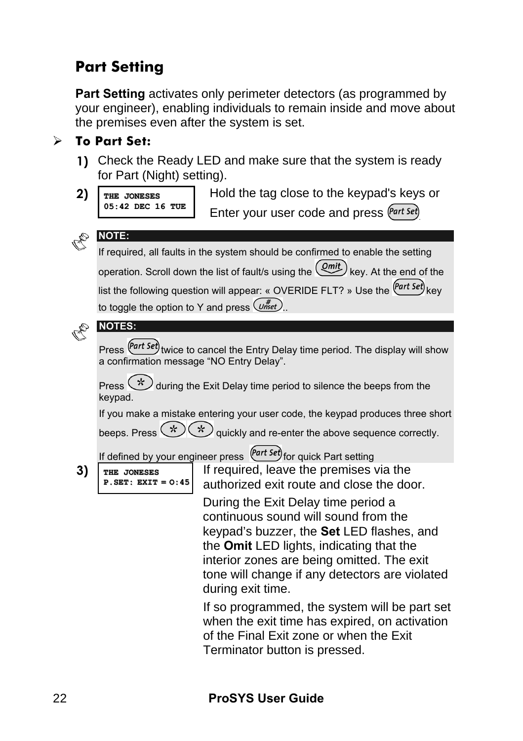### **Part Setting**

**Part Setting** activates only perimeter detectors (as programmed by your engineer), enabling individuals to remain inside and move about the premises even after the system is set.

#### $\blacktriangleright$ **To Part Set:**

- **1)** Check the Ready LED and make sure that the system is ready for Part (Night) setting).
- **2) THE JONESES THE JONESES 05:42 DEC 16 TUE 05:42 TUE**

Hold the tag close to the keypad's keys or Enter your user code and press (Part Set)

### **NOTE:**

If required, all faults in the system should be confirmed to enable the setting operation. Scroll down the list of fault/s using the  $\binom{Qmit}{k}$  key. At the end of the list the following question will appear: « OVERIDE FLT? » Use the  $\frac{\left( Part\ Set\right) }{\left( Part\ Set\ } \right) }$ key to toggle the option to Y and press  $(u^{\#}_{nset})$ .

### **NOTES:**

Press  $\frac{\text{Part Set}}{\text{twice}}$  to cancel the Entry Delay time period. The display will show a confirmation message "NO Entry Delay".

Press  $(\star)$  during the Exit Delay time period to silence the beeps from the keypad.

If you make a mistake entering your user code, the keypad produces three short beeps. Press  $\left(\frac{1}{N}\right)\left(\frac{1}{N}\right)$  quickly and re-enter the above sequence correctly.

If defined by your engineer press  $(Part Set)$  for quick Part setting

**3) THE JONESES THE JONESES P.SET: EXIT = O:45**

If required, leave the premises via the authorized exit route and close the door.

During the Exit Delay time period a continuous sound will sound from the keypad's buzzer, the **Set** LED flashes, and the **Omit** LED lights, indicating that the interior zones are being omitted. The exit tone will change if any detectors are violated during exit time.

If so programmed, the system will be part set when the exit time has expired, on activation of the Final Exit zone or when the Exit Terminator button is pressed.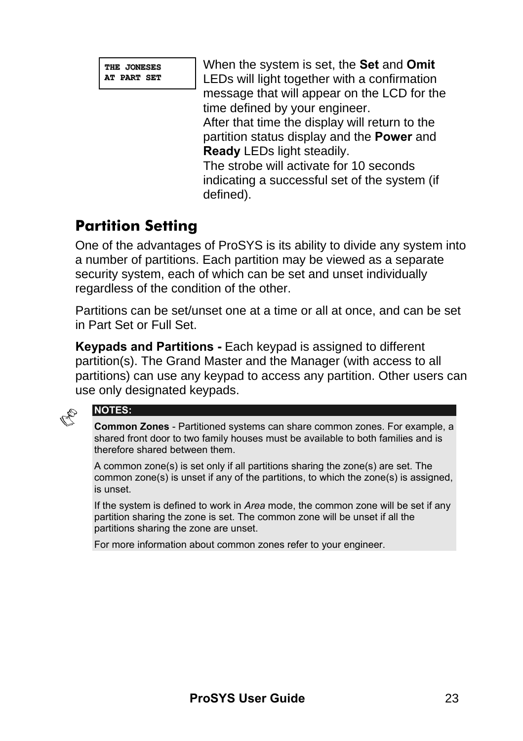**THE JONESES AT PART SET AT PART SET**

When the system is set, the **Set** and **Omit** LEDs will light together with a confirmation message that will appear on the LCD for the time defined by your engineer. After that time the display will return to the partition status display and the **Power** and **Ready** LEDs light steadily. The strobe will activate for 10 seconds indicating a successful set of the system (if

### **Partition Setting**

One of the advantages of ProSYS is its ability to divide any system into a number of partitions. Each partition may be viewed as a separate security system, each of which can be set and unset individually regardless of the condition of the other.

defined).

Partitions can be set/unset one at a time or all at once, and can be set in Part Set or Full Set.

**Keypads and Partitions -** Each keypad is assigned to different partition(s). The Grand Master and the Manager (with access to all partitions) can use any keypad to access any partition. Other users can use only designated keypads.



#### **NOTES:**

**Common Zones** - Partitioned systems can share common zones. For example, a shared front door to two family houses must be available to both families and is therefore shared between them.

A common zone(s) is set only if all partitions sharing the zone(s) are set. The common zone(s) is unset if any of the partitions, to which the zone(s) is assigned, is unset.

If the system is defined to work in *Area* mode, the common zone will be set if any partition sharing the zone is set. The common zone will be unset if all the partitions sharing the zone are unset.

For more information about common zones refer to your engineer.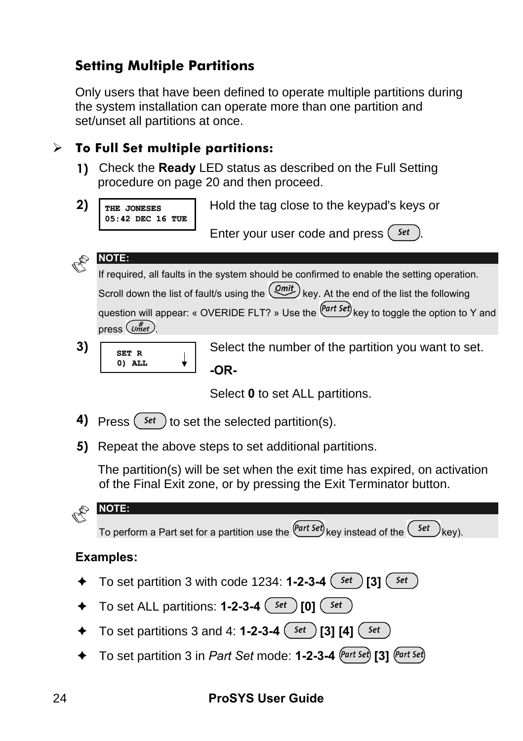### **Setting Multiple Partitions**

Only users that have been defined to operate multiple partitions during the system installation can operate more than one partition and set/unset all partitions at once.

### **To Full Set multiple partitions:**

**1)** Check the **Ready** LED status as described on the Full Setting procedure on page 20 and then proceed.



The partition(s) will be set when the exit time has expired, on activation of the Final Exit zone, or by pressing the Exit Terminator button.

|           | <b>NOTE:</b>                                                                                                                 |  |
|-----------|------------------------------------------------------------------------------------------------------------------------------|--|
|           | To perform a Part set for a partition use the $\frac{(Part Set)}{(Part Set)}$ key instead of the $\frac{(Set)}{(Set)}$ key). |  |
|           |                                                                                                                              |  |
| Examples: |                                                                                                                              |  |
|           | $\bullet$ To set partition 3 with code 1234: <b>1-2-3-4</b> (set) [3]<br>(Set                                                |  |
|           | $\rightarrow$ To set ALL partitions: <b>1-2-3-4</b> $\left($ <i>Set</i> $\right)$ [0] $\left($ <i>Set</i>                    |  |
|           | To set partitions 3 and 4: <b>1-2-3-4</b> $\binom{Set}{}$ [3] [4] $\binom{Set}{}$                                            |  |
|           | To set partition 3 in Part Set mode: $1-2-3-4$ (Part Set) [3]<br>(Part Set)                                                  |  |

24 **ProSYS User Guide**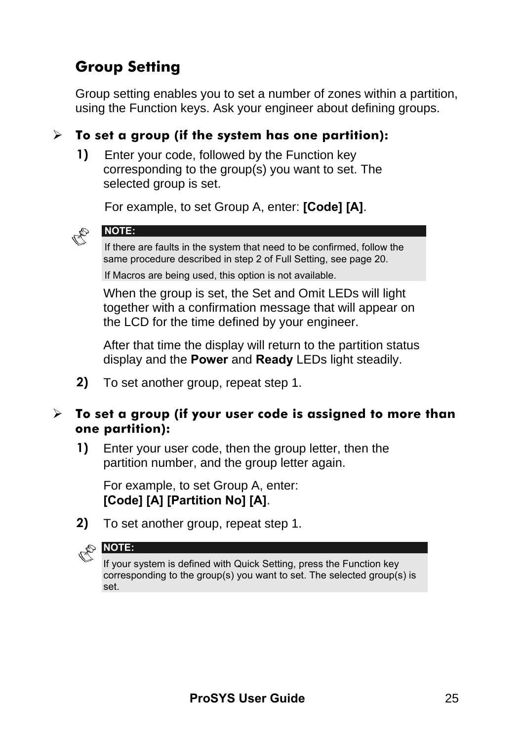### **Group Setting**

Group setting enables you to set a number of zones within a partition, using the Function keys. Ask your engineer about defining groups.

#### **To set a group (if the system has one partition):**

**1)** Enter your code, followed by the Function key corresponding to the group(s) you want to set. The selected group is set.

For example, to set Group A, enter: **[Code] [A]**.



#### **NOTE:**

If there are faults in the system that need to be confirmed, follow the same procedure described in step 2 of Full Setting, see page 20.

If Macros are being used, this option is not available.

When the group is set, the Set and Omit LEDs will light together with a confirmation message that will appear on the LCD for the time defined by your engineer.

After that time the display will return to the partition status display and the **Power** and **Ready** LEDs light steadily.

**2)** To set another group, repeat step 1.

#### **To set a group (if your user code is assigned to more than one partition):**

**1)** Enter your user code, then the group letter, then the partition number, and the group letter again.

For example, to set Group A, enter: **[Code] [A] [Partition No] [A]**.

**2)** To set another group, repeat step 1.



If your system is defined with Quick Setting, press the Function key corresponding to the group(s) you want to set. The selected group(s) is set.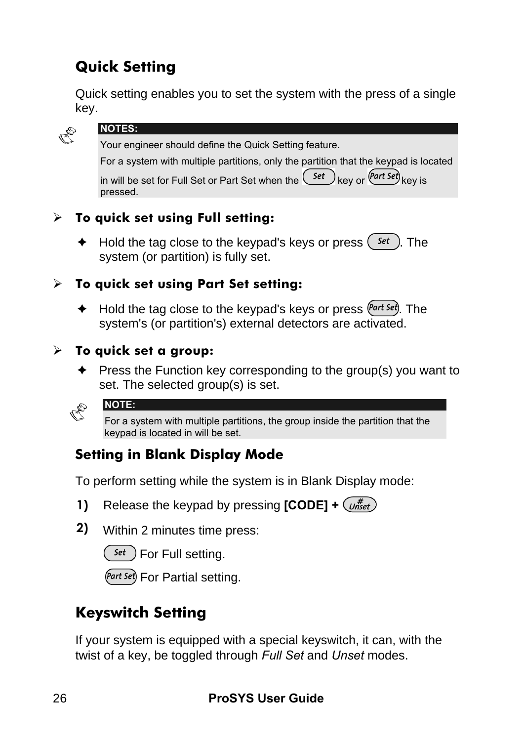### **Quick Setting**

Quick setting enables you to set the system with the press of a single key.



### **NOTES:**

Your engineer should define the Quick Setting feature.

```
For a system with multiple partitions, only the partition that the keypad is located 
in will be set for Full Set or Part Set when the \binom{Set}{k} key or \binom{Part\ Set}{k} key is
pressed.
```
### **To quick set using Full setting:**

 $\triangleleft$  Hold the tag close to the keypad's keys or press  $($  set ). The system (or partition) is fully set.

#### $\triangleright$ **To quick set using Part Set setting:**

 $\triangle$  Hold the tag close to the keypad's keys or press  $(Part Set)$ . The system's (or partition's) external detectors are activated.

#### $\blacktriangleright$ **To quick set a group:**

 $\triangle$  Press the Function key corresponding to the group(s) you want to set. The selected group(s) is set.



**NOTE:** 

For a system with multiple partitions, the group inside the partition that the keypad is located in will be set.

### **Setting in Blank Display Mode**

To perform setting while the system is in Blank Display mode:

- **1)** Release the keypad by pressing  $[CODE] + \left(\frac{u}{w}\right)$
- **2)** Within 2 minutes time press:

 $Set$  For Full setting.

(Part set) For Partial setting.

### **Keyswitch Setting**

If your system is equipped with a special keyswitch, it can, with the twist of a key, be toggled through *Full Set* and *Unset* modes.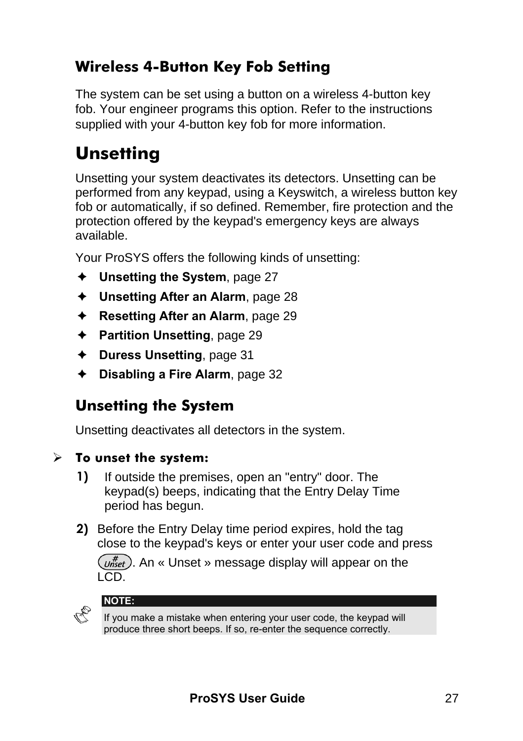### **Wireless 4-Button Key Fob Setting**

The system can be set using a button on a wireless 4-button key fob. Your engineer programs this option. Refer to the instructions supplied with your 4-button key fob for more information.

## **Unsetting**

Unsetting your system deactivates its detectors. Unsetting can be performed from any keypad, using a Keyswitch, a wireless button key fob or automatically, if so defined. Remember, fire protection and the protection offered by the keypad's emergency keys are always available.

Your ProSYS offers the following kinds of unsetting:

- ◆ Unsetting the System, page 27
- ◆ Unsetting After an Alarm, page 28
- **← Resetting After an Alarm**, page 29
- **← Partition Unsetting**, page 29
- ◆ **Duress Unsetting**, page 31
- ◆ **Disabling a Fire Alarm**, page 32

### **Unsetting the System**

Unsetting deactivates all detectors in the system.

### **To unset the system:**

- **1)** If outside the premises, open an "entry" door. The keypad(s) beeps, indicating that the Entry Delay Time period has begun.
- **2)** Before the Entry Delay time period expires, hold the tag close to the keypad's keys or enter your user code and press

 $(u^{#}_{nset})$ . An « Unset » message display will appear on the LCD.



#### **NOTE:**

If you make a mistake when entering your user code, the keypad will produce three short beeps. If so, re-enter the sequence correctly.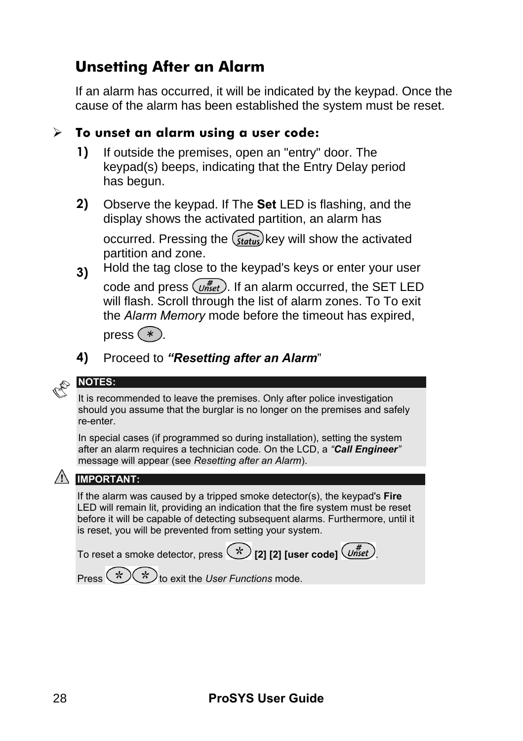### **Unsetting After an Alarm**

If an alarm has occurred, it will be indicated by the keypad. Once the cause of the alarm has been established the system must be reset.

#### $\blacktriangleright$ **To unset an alarm using a user code:**

- **1)** If outside the premises, open an "entry" door. The keypad(s) beeps, indicating that the Entry Delay period has begun.
- **2)** Observe the keypad. If The **Set** LED is flashing, and the display shows the activated partition, an alarm has

occurred. Pressing the  $\widehat{f}_{\text{status}}$  key will show the activated partition and zone.

**3)** Hold the tag close to the keypad's keys or enter your user code and press  $(\overline{u^{*}_{n}})$ . If an alarm occurred, the SET LED will flash. Scroll through the list of alarm zones. To To exit the *Alarm Memory* mode before the timeout has expired,

press  $(*)$ .

**4)** Proceed to *"Resetting after an Alarm*"

#### **NOTES:**

It is recommended to leave the premises. Only after police investigation should you assume that the burglar is no longer on the premises and safely re-enter.

In special cases (if programmed so during installation), setting the system after an alarm requires a technician code. On the LCD, a *"Call Engineer"* message will appear (see *Resetting after an Alarm*).



#### **IMPORTANT:**

If the alarm was caused by a tripped smoke detector(s), the keypad's **Fire** LED will remain lit, providing an indication that the fire system must be reset before it will be capable of detecting subsequent alarms. Furthermore, until it is reset, you will be prevented from setting your system.

To reset a smoke detector, press (\*) [2] [2] [user code]  $\overline{(u^{tt}_{nset})}$ 

Press  $(*)$   $*)$  to exit the *User Functions* mode.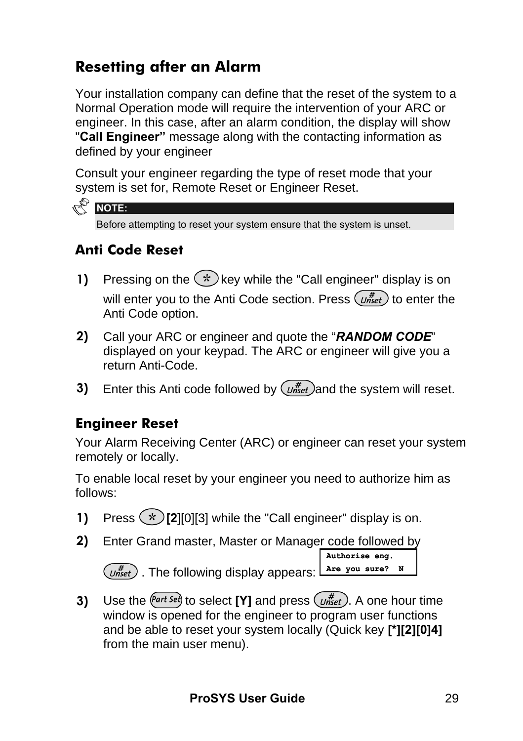### **Resetting after an Alarm**

Your installation company can define that the reset of the system to a Normal Operation mode will require the intervention of your ARC or engineer. In this case, after an alarm condition, the display will show "**Call Engineer"** message along with the contacting information as defined by your engineer

Consult your engineer regarding the type of reset mode that your system is set for, Remote Reset or Engineer Reset.



Before attempting to reset your system ensure that the system is unset.

### **Anti Code Reset**

- **1)** Pressing on the  $(\star)$  key while the "Call engineer" display is on will enter you to the Anti Code section. Press  $(w_{\text{mset}}^*)$  to enter the Anti Code option.
- **2)** Call your ARC or engineer and quote the "*RANDOM CODE*" displayed on your keypad. The ARC or engineer will give you a return Anti-Code.
- **3)** Enter this Anti code followed by  $\left(\frac{u}{w}\right)$  and the system will reset.

### **Engineer Reset**

Your Alarm Receiving Center (ARC) or engineer can reset your system remotely or locally.

To enable local reset by your engineer you need to authorize him as follows:

- **1)** Press  $(*)$  [2][0][3] while the "Call engineer" display is on.
- **2)** Enter Grand master, Master or Manager code followed by

 $(u_{nset}^{\#})$ . The following display appears:

**Authorise eng. Are you sure? N**

**3)** Use the  $\left(\text{Part Set}\right)$  to select **[Y]** and press  $\left(\text{Uniset}\right)$ . A one hour time window is opened for the engineer to program user functions and be able to reset your system locally (Quick key **[\*][2][0]4]** from the main user menu).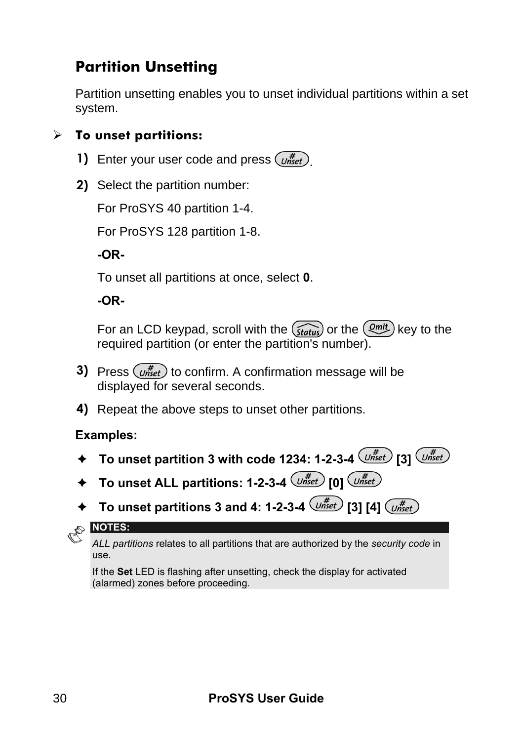### **Partition Unsetting**

Partition unsetting enables you to unset individual partitions within a set system.

#### **To unset partitions:**

- **1)** Enter your user code and press  $(w_{nset}^{\#})$
- **2)** Select the partition number:

For ProSYS 40 partition 1-4.

For ProSYS 128 partition 1-8.

**-OR-**

To unset all partitions at once, select **0**.

**-OR-**

For an LCD keypad, scroll with the  $\left(\frac{\delta m}{\delta t}n\right)$  or the  $\left(\frac{Qm}{\delta t}\right)$  key to the required partition (or enter the partition's number).

- **3)** Press  $\left(\overrightarrow{u}_{\text{nset}}^{\#}\right)$  to confirm. A confirmation message will be displayed for several seconds.
- **4)** Repeat the above steps to unset other partitions.

**Examples:** 

- ♦ To unset partition 3 with code 1234: 1-2-3-4  $\overline{ ( \nu_{nset}^{tt} ) }$  <sub>[3]</sub>  $\overline{ ( \nu_{nset}^{tt} ) }$
- $\triangleq$  To unset ALL partitions: 1-2-3-4  $\frac{m}{w^*}$  [0]  $\frac{m}{w^*}$
- $\blacklozenge$  To unset partitions 3 and 4: 1-2-3-4  $\overline{\mathcal{Q}_{\mathit{mSet}}^{\#}}$  [3] [4]  $\overline{\mathcal{Q}_{\mathit{mSet}}^{\#}}$

**NOTES:** 

*ALL partitions* relates to all partitions that are authorized by the *security code* in use.

If the **Set** LED is flashing after unsetting, check the display for activated (alarmed) zones before proceeding.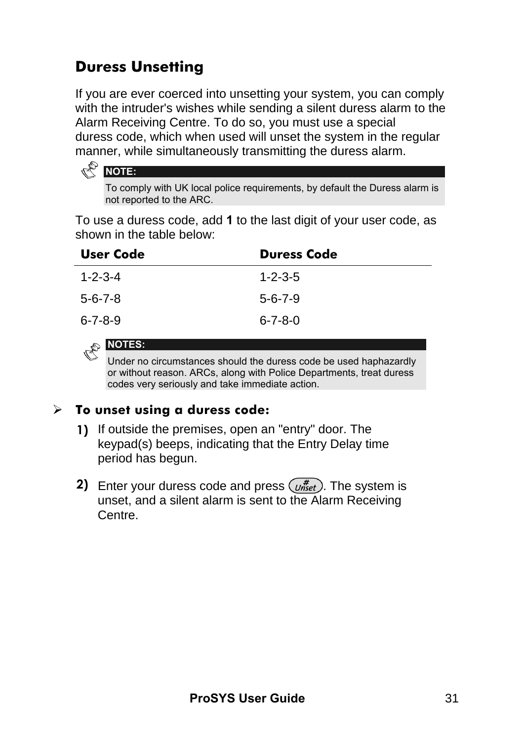### **Duress Unsetting**

If you are ever coerced into unsetting your system, you can comply with the intruder's wishes while sending a silent duress alarm to the Alarm Receiving Centre. To do so, you must use a special duress code, which when used will unset the system in the regular manner, while simultaneously transmitting the duress alarm.



To comply with UK local police requirements, by default the Duress alarm is not reported to the ARC.

To use a duress code, add **1** to the last digit of your user code, as shown in the table below:

| User Code       | <b>Duress Code</b> |
|-----------------|--------------------|
| $1 - 2 - 3 - 4$ | $1 - 2 - 3 - 5$    |
| 5-6-7-8         | $5 - 6 - 7 - 9$    |
| 6-7-8-9         | $6 - 7 - 8 - 0$    |



Under no circumstances should the duress code be used haphazardly or without reason. ARCs, along with Police Departments, treat duress codes very seriously and take immediate action.

#### **To unset using a duress code:**

- **1)** If outside the premises, open an "entry" door. The keypad(s) beeps, indicating that the Entry Delay time period has begun.
- **2)** Enter your duress code and press  $(u_m^{\#})$ . The system is unset, and a silent alarm is sent to the Alarm Receiving Centre.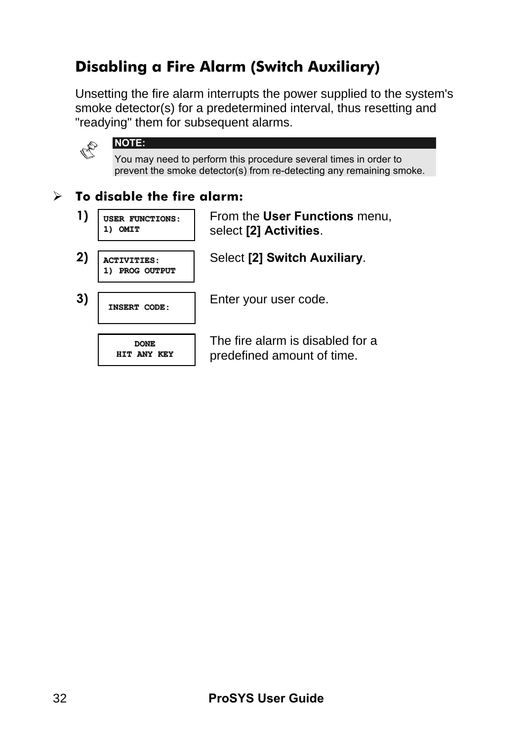### **Disabling a Fire Alarm (Switch Auxiliary)**

Unsetting the fire alarm interrupts the power supplied to the system's smoke detector(s) for a predetermined interval, thus resetting and "readying" them for subsequent alarms.



You may need to perform this procedure several times in order to prevent the smoke detector(s) from re-detecting any remaining smoke.

#### $\blacktriangleright$ **To disable the fire alarm:**

**NOTE:** 

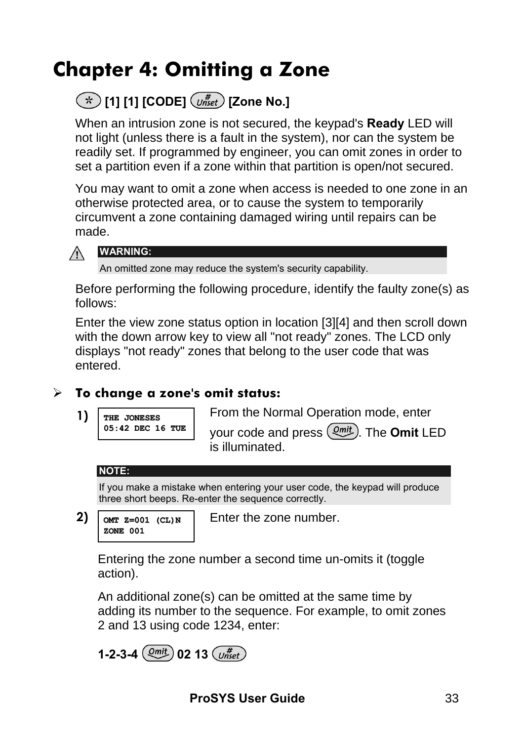## **Chapter 4: Omitting a Zone**

### $(*)$  [1] [1]  $[CODE]$   $(\overline{U^{#}_{nset}})$   $[Zone$  No.]

When an intrusion zone is not secured, the keypad's **Ready** LED will not light (unless there is a fault in the system), nor can the system be readily set. If programmed by engineer, you can omit zones in order to set a partition even if a zone within that partition is open/not secured.

You may want to omit a zone when access is needed to one zone in an otherwise protected area, or to cause the system to temporarily circumvent a zone containing damaged wiring until repairs can be made.



**WARNING:** 

An omitted zone may reduce the system's security capability.

Before performing the following procedure, identify the faulty zone(s) as follows:

Enter the view zone status option in location [3][4] and then scroll down with the down arrow key to view all "not ready" zones. The LCD only displays "not ready" zones that belong to the user code that was entered.

#### $\blacktriangleright$ **To change a zone's omit status:**

**1) THE JONESES THE JONESES 05:42 DEC 16 TUE 05:42 TUE** From the Normal Operation mode, enter

your code and press  $(2mit)$ . The **Omit** LED is illuminated.

#### **NOTE:**

If you make a mistake when entering your user code, the keypad will produce three short beeps. Re-enter the sequence correctly.

**2) OMT Z=001 (CL)N Z=001 (CL)N ZONE 001 ZONE 001**

Enter the zone number.

Entering the zone number a second time un-omits it (toggle action).

An additional zone(s) can be omitted at the same time by adding its number to the sequence. For example, to omit zones 2 and 13 using code 1234, enter:

**1-2-3-4**  $(Qmit)$  **02 13**  $QH$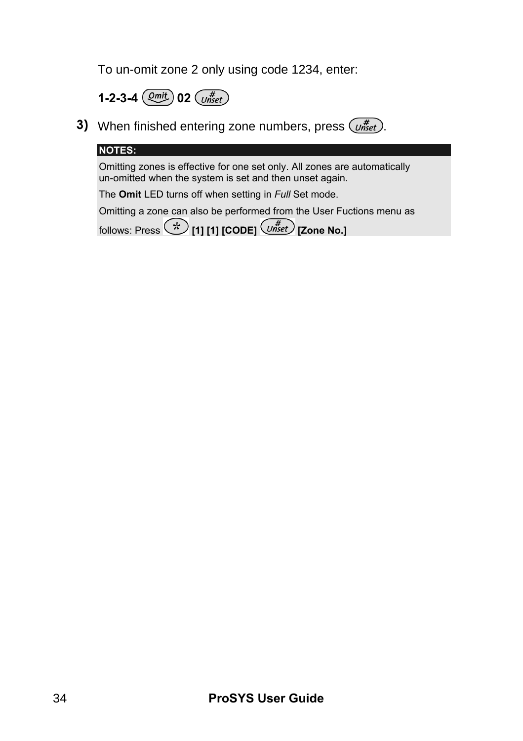To un-omit zone 2 only using code 1234, enter:



**3)** When finished entering zone numbers, press  $(\overline{u_{\text{mset}}^{\#}})$ .

#### **NOTES:**

Omitting zones is effective for one set only. All zones are automatically un-omitted when the system is set and then unset again.

The **Omit** LED turns off when setting in *Full* Set mode.

Omitting a zone can also be performed from the User Fuctions menu as

follows: Press  $\left(\overrightarrow{x}\right)$  [1] [1] [CODE]  $\left(\overrightarrow{Unset}\right)$  [Zone No.]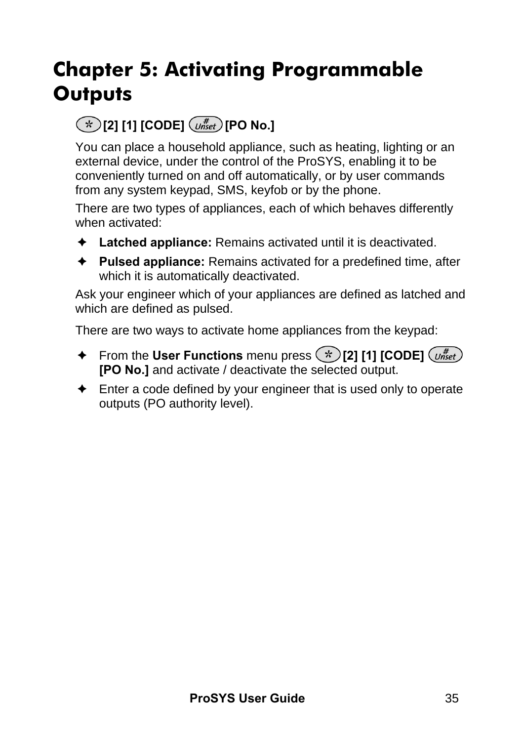# **Chapter 5: Activating Programmable Outputs**

### $(*)$ [2] [1] [CODE]  $(\overline{\mathcal{C}_{\text{mset}}})$  [PO No.]

You can place a household appliance, such as heating, lighting or an external device, under the control of the ProSYS, enabling it to be conveniently turned on and off automatically, or by user commands from any system keypad, SMS, keyfob or by the phone.

There are two types of appliances, each of which behaves differently when activated:

- **← Latched appliance:** Remains activated until it is deactivated.
- ◆ **Pulsed appliance:** Remains activated for a predefined time, after which it is automatically deactivated.

Ask your engineer which of your appliances are defined as latched and which are defined as pulsed.

There are two ways to activate home appliances from the keypad:

- $\blacklozenge$  From the User Functions menu press  $(*)$  [2] [1] [CODE]  $\binom{#}{\text{Unset}}$ **[PO No.]** and activate / deactivate the selected output.
- $\triangle$  Enter a code defined by your engineer that is used only to operate outputs (PO authority level).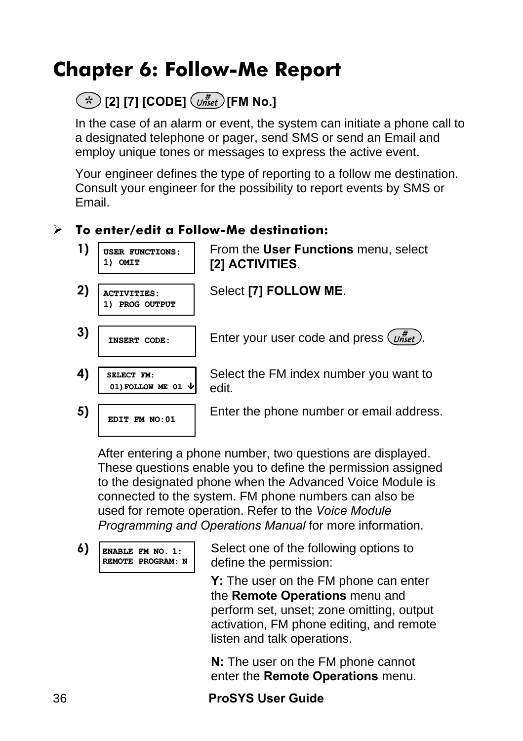## **Chapter 6: Follow-Me Report**

### $(*)$  [2] [7] [CODE]  $(w_{nset}^{\#})$  [FM No.]

In the case of an alarm or event, the system can initiate a phone call to a designated telephone or pager, send SMS or send an Email and employ unique tones or messages to express the active event.

Your engineer defines the type of reporting to a follow me destination. Consult your engineer for the possibility to report events by SMS or Email.

#### $\blacktriangle$ **To enter/edit a Follow-Me destination:**

**1) USER FUNCTIONS: USER FUNCTIONS: 1) OMIT OMIT 2) ACTIVITIES: 1) PROG OUTPUT 1) PROG OUTPUT 4) SELECT FM: 01)FOLLOW ME 01** È From the **User Functions** menu, select **[2] ACTIVITIES**.

Select **[7] FOLLOW ME**.

**3) INSERT CODE:** Enter your user code and press  $\overline{U_{\text{mset}}^{\#}}$ 

Select the FM index number you want to edit.

**5) EDIT FM NO:01** Enter the phone number or email address.

After entering a phone number, two questions are displayed. These questions enable you to define the permission assigned to the designated phone when the Advanced Voice Module is connected to the system. FM phone numbers can also be used for remote operation. Refer to the *Voice Module Programming and Operations Manual* for more information.

**6) ENABLE FM NO. 1: REMOTE PROGRAM: REMOTE N** 

Select one of the following options to define the permission:

**Y:** The user on the FM phone can enter the **Remote Operations** menu and perform set, unset; zone omitting, output activation, FM phone editing, and remote listen and talk operations.

**N:** The user on the FM phone cannot enter the **Remote Operations** menu.

### 36 **ProSYS User Guide**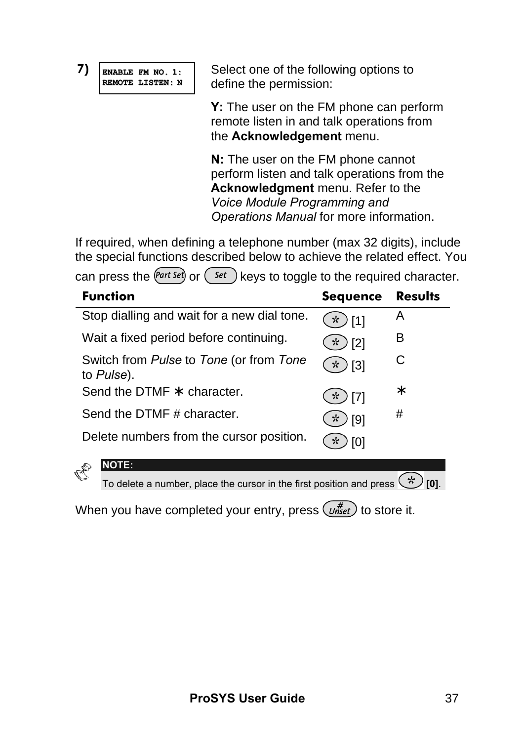**7) ENABLE FM NO. 1: REMOTE LISTEN: REMOTE LISTEN: N**  Select one of the following options to define the permission:

**Y:** The user on the FM phone can perform remote listen in and talk operations from the **Acknowledgement** menu.

**N:** The user on the FM phone cannot perform listen and talk operations from the **Acknowledgment** menu. Refer to the *Voice Module Programming and Operations Manual* for more information.

If required, when defining a telephone number (max 32 digits), include the special functions described below to achieve the related effect. You

can press the  $\left(\frac{\text{Part Set}}{\text{Set}}\right)$  keys to toggle to the required character.

| <b>Function</b>                                       | <b>Sequence</b>  | Results |
|-------------------------------------------------------|------------------|---------|
| Stop dialling and wait for a new dial tone.           | $\star$<br>) [1] | Α       |
| Wait a fixed period before continuing.                | $\star$ )[2]     | в       |
| Switch from Pulse to Tone (or from Tone<br>to Pulse). | ) [3]<br>☆       | C       |
| Send the DTMF $*$ character.                          | $(*)$ [7]        | ∗       |
| Send the DTMF # character.                            | $\star$ )[9]     | #       |
| Delete numbers from the cursor position.              |                  |         |



**NOTE:** 

To delete a number, place the cursor in the first position and press  $(\star)$  **[0]**.

When you have completed your entry, press  $(w_{\text{mset}}^{\#})$  to store it.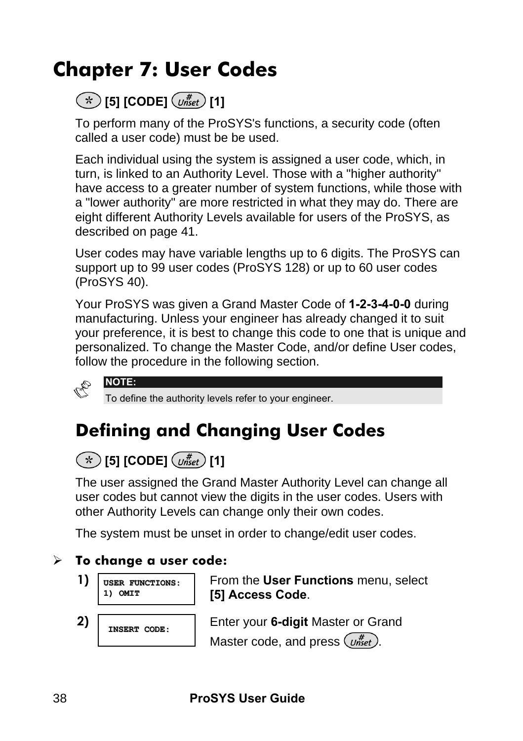# **Chapter 7: User Codes**

### $(*)$  [5] **[CODE]**  $(\textit{w}^{\#}_{\textit{nset}})$  **[1]**

To perform many of the ProSYS's functions, a security code (often called a user code) must be be used.

Each individual using the system is assigned a user code, which, in turn, is linked to an Authority Level. Those with a "higher authority" have access to a greater number of system functions, while those with a "lower authority" are more restricted in what they may do. There are eight different Authority Levels available for users of the ProSYS, as described on page 41.

User codes may have variable lengths up to 6 digits. The ProSYS can support up to 99 user codes (ProSYS 128) or up to 60 user codes (ProSYS 40).

Your ProSYS was given a Grand Master Code of **1-2-3-4-0-0** during manufacturing. Unless your engineer has already changed it to suit your preference, it is best to change this code to one that is unique and personalized. To change the Master Code, and/or define User codes, follow the procedure in the following section.



**NOTE:** 

To define the authority levels refer to your engineer.

## **Defining and Changing User Codes**



The user assigned the Grand Master Authority Level can change all user codes but cannot view the digits in the user codes. Users with other Authority Levels can change only their own codes.

The system must be unset in order to change/edit user codes.

#### $\blacktriangleright$ **To change a user code:**



From the **User Functions** menu, select **[5] Access Code**.

**2) INSERT CODE: Enter your 6-digit Master or Grand** Master code, and press  $(w_{nset}^*)$ .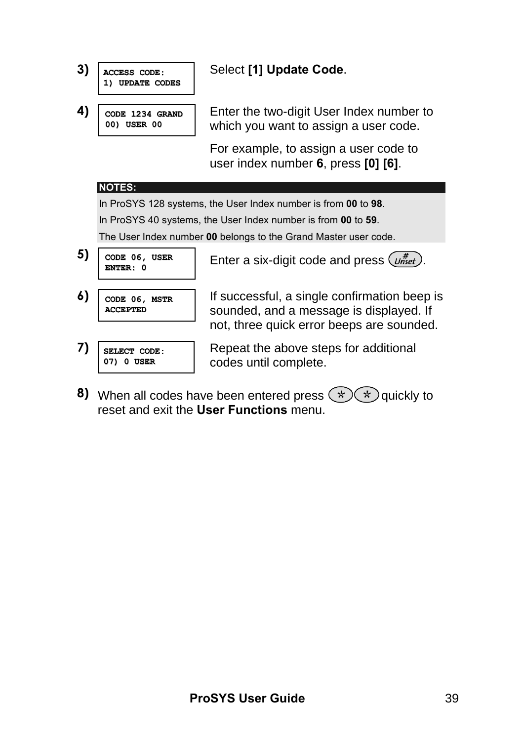

**8)** When all codes have been entered press  $(\ast)(\ast)$  quickly to reset and exit the **User Functions** menu.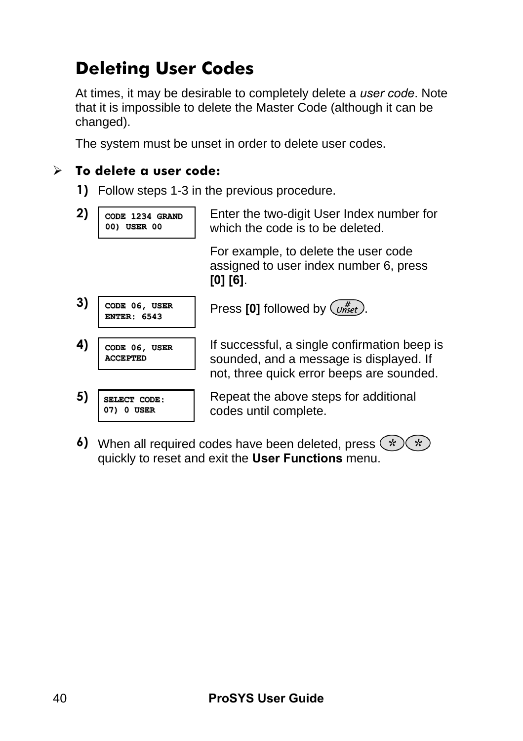## **Deleting User Codes**

At times, it may be desirable to completely delete a *user code*. Note that it is impossible to delete the Master Code (although it can be changed).

The system must be unset in order to delete user codes.

#### $\blacktriangle$ **To delete a user code:**

- **1)** Follow steps 1-3 in the previous procedure.
- **2) CODE 1234 GRAND CODE 1234 00) USER 00 00) USER 00**  Enter the two-digit User Index number for which the code is to be deleted. For example, to delete the user code assigned to user index number 6, press **[0] [6]**. **3) CODE 06, USER CODE 06, ENTER: 6543** Press **[0]** followed by  $(u^{#}_{nset})$ **4) CODE 06, USER CODE 06, ACCEPTED ACCEPTED**  If successful, a single confirmation beep is sounded, and a message is displayed. If not, three quick error beeps are sounded. **5) SELECT CODE: 07) 0 USER 07) 0 USER** Repeat the above steps for additional codes until complete.
- **6)** When all required codes have been deleted, press  $(*)$ (\* ) quickly to reset and exit the **User Functions** menu.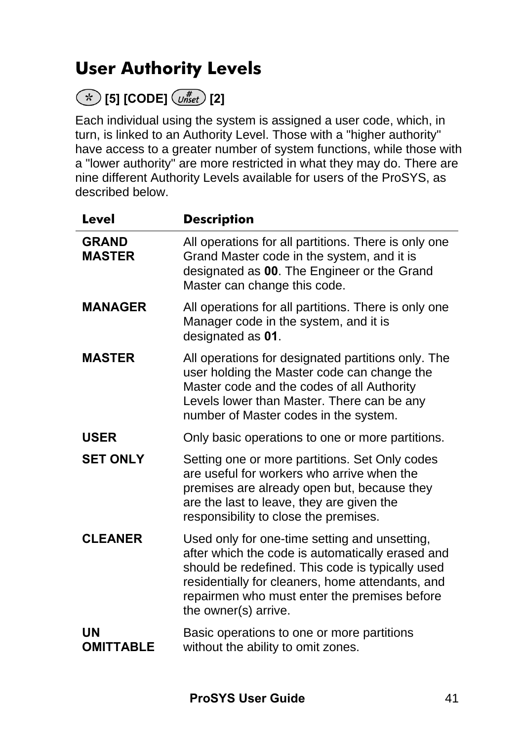## **User Authority Levels**

### $(*)$  [5] [CODE]  $(\overline{w_{n}^{#}})$  [2]

Each individual using the system is assigned a user code, which, in turn, is linked to an Authority Level. Those with a "higher authority" have access to a greater number of system functions, while those with a "lower authority" are more restricted in what they may do. There are nine different Authority Levels available for users of the ProSYS, as described below.

| Level                         | <b>Description</b>                                                                                                                                                                                                                                                                |
|-------------------------------|-----------------------------------------------------------------------------------------------------------------------------------------------------------------------------------------------------------------------------------------------------------------------------------|
| <b>GRAND</b><br><b>MASTER</b> | All operations for all partitions. There is only one<br>Grand Master code in the system, and it is<br>designated as 00. The Engineer or the Grand<br>Master can change this code.                                                                                                 |
| <b>MANAGER</b>                | All operations for all partitions. There is only one<br>Manager code in the system, and it is<br>designated as 01.                                                                                                                                                                |
| <b>MASTER</b>                 | All operations for designated partitions only. The<br>user holding the Master code can change the<br>Master code and the codes of all Authority<br>Levels lower than Master. There can be any<br>number of Master codes in the system.                                            |
| <b>USER</b>                   | Only basic operations to one or more partitions.                                                                                                                                                                                                                                  |
| <b>SET ONLY</b>               | Setting one or more partitions. Set Only codes<br>are useful for workers who arrive when the<br>premises are already open but, because they<br>are the last to leave, they are given the<br>responsibility to close the premises.                                                 |
| <b>CLEANER</b>                | Used only for one-time setting and unsetting,<br>after which the code is automatically erased and<br>should be redefined. This code is typically used<br>residentially for cleaners, home attendants, and<br>repairmen who must enter the premises before<br>the owner(s) arrive. |
| UN<br><b>OMITTABLE</b>        | Basic operations to one or more partitions<br>without the ability to omit zones.                                                                                                                                                                                                  |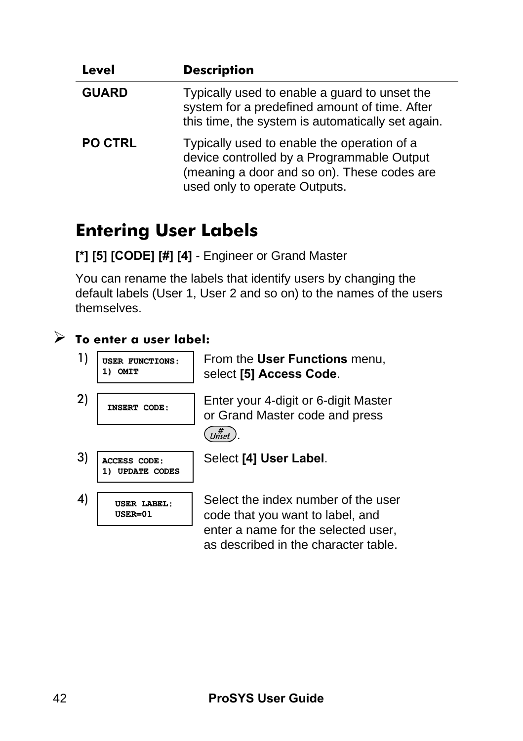| Level          | <b>Description</b>                                                                                                                                                        |
|----------------|---------------------------------------------------------------------------------------------------------------------------------------------------------------------------|
| <b>GUARD</b>   | Typically used to enable a guard to unset the<br>system for a predefined amount of time. After<br>this time, the system is automatically set again.                       |
| <b>PO CTRL</b> | Typically used to enable the operation of a<br>device controlled by a Programmable Output<br>(meaning a door and so on). These codes are<br>used only to operate Outputs. |

### **Entering User Labels**

**[\*] [5] [CODE] [#] [4]** - Engineer or Grand Master

You can rename the labels that identify users by changing the default labels (User 1, User 2 and so on) to the names of the users themselves.

### ¾ **To enter a user label:**

 $1)$   $\sqrt{\text{user}}$  **FUNCTIONS**: **1) OMIT 1) OMIT** From the **User Functions** menu, select **[5] Access Code**. 2) **INSERT CODE:** Enter your 4-digit or 6-digit Master or Grand Master code and press  $(w_{nset}^{\#})$ . 3) **ACCESS CODE: 1) UPDATE CODES 1) UPDATE CODES** Select **[4] User Label**. 4) **USER LABEL: USER=01** Select the index number of the user code that you want to label, and

enter a name for the selected user, as described in the character table.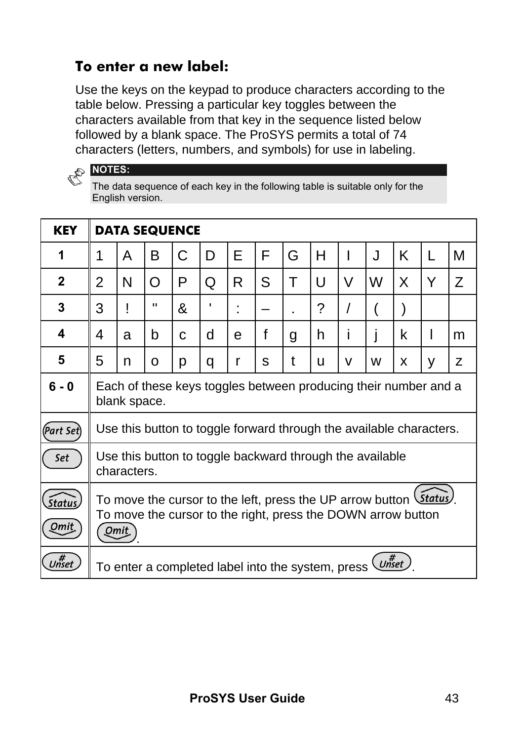### **To enter a new label:**

Use the keys on the keypad to produce characters according to the table below. Pressing a particular key toggles between the characters available from that key in the sequence listed below followed by a blank space. The ProSYS permits a total of 74 characters (letters, numbers, and symbols) for use in labeling.



The data sequence of each key in the following table is suitable only for the English version.

| <b>KEY</b>            |                                                                                                                                                 | <b>DATA SEQUENCE</b>                                                    |                                                   |   |   |   |   |   |   |          |           |    |   |   |
|-----------------------|-------------------------------------------------------------------------------------------------------------------------------------------------|-------------------------------------------------------------------------|---------------------------------------------------|---|---|---|---|---|---|----------|-----------|----|---|---|
| 1                     | 1                                                                                                                                               | A                                                                       | B                                                 | С | D | Е | F | G | H |          | $\cdot$   | K. | L | M |
| $\mathbf{2}$          | 2                                                                                                                                               | N                                                                       | O                                                 | P | Q | R | S | Т | U | V        | W         | X. | Y | Z |
| 3                     | 3                                                                                                                                               |                                                                         |                                                   | & | ٠ |   |   |   | ? | $\prime$ |           |    |   |   |
| 4                     | 4                                                                                                                                               | a                                                                       | b                                                 | C | d | е | f | g | h | ı        |           | k  |   | m |
| 5                     | 5                                                                                                                                               | n                                                                       | O                                                 | р | q | r | S | t | u | v        | w         | x  | ٧ | Z |
| $6 - 0$               | Each of these keys toggles between producing their number and a<br>blank space.                                                                 |                                                                         |                                                   |   |   |   |   |   |   |          |           |    |   |   |
| (Part Set)            | Use this button to toggle forward through the available characters.                                                                             |                                                                         |                                                   |   |   |   |   |   |   |          |           |    |   |   |
| Set                   |                                                                                                                                                 | Use this button to toggle backward through the available<br>characters. |                                                   |   |   |   |   |   |   |          |           |    |   |   |
| <b>Status</b><br>Omit | To move the cursor to the left, press the UP arrow button <i>Status</i><br>To move the cursor to the right, press the DOWN arrow button<br>Omit |                                                                         |                                                   |   |   |   |   |   |   |          |           |    |   |   |
| Unset                 |                                                                                                                                                 |                                                                         | To enter a completed label into the system, press |   |   |   |   |   |   |          | $\nu$ #et |    |   |   |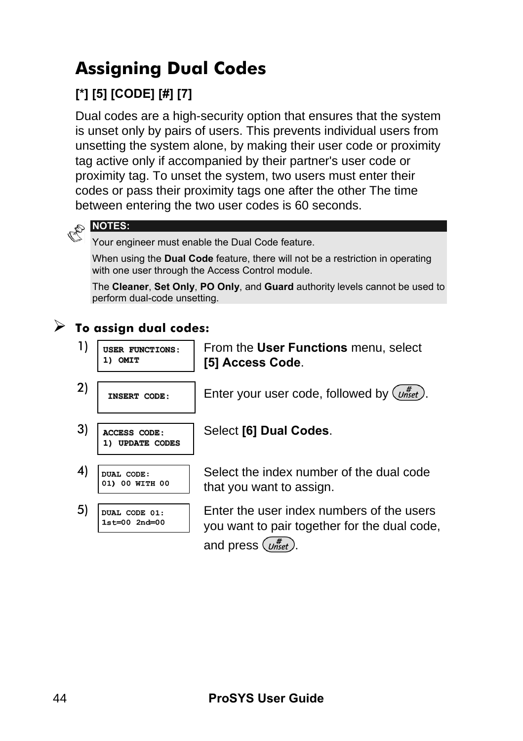# **Assigning Dual Codes**

### **[\*] [5] [CODE] [#] [7]**

Dual codes are a high-security option that ensures that the system is unset only by pairs of users. This prevents individual users from unsetting the system alone, by making their user code or proximity tag active only if accompanied by their partner's user code or proximity tag. To unset the system, two users must enter their codes or pass their proximity tags one after the other The time between entering the two user codes is 60 seconds.



### **NOTES:**

Your engineer must enable the Dual Code feature.

When using the **Dual Code** feature, there will not be a restriction in operating with one user through the Access Control module.

The **Cleaner**, **Set Only**, **PO Only**, and **Guard** authority levels cannot be used to perform dual-code unsetting.

### ¾ **To assign dual codes:**

1) **USER FUNCTIONS: 1) OMIT 1) OMIT**

From the **User Functions** menu, select **[5] Access Code**.

- 
- 3) **ACCESS CODE: ACCESS CODE: 1) UPDATE CODES 1) UPDATE**
- 
- 

2)  $\sqrt{\frac{x}{\text{INSERT } \text{CODE}}}$  Enter your user code, followed by  $\left(\frac{x}{\text{Uniset}}\right)$ 

Select **[6] Dual Codes**.

 $\begin{array}{c|c|c|c|c|c} \hline \text{ADAL CODE:} & \text{Select the index number of the dual code} \ \hline \end{array}$ that you want to assign.

5)  $\frac{1}{2}$  Enter the user index numbers of the users<br> $\frac{1}{2}$   $\frac{1}{2}$   $\frac{1}{2}$   $\frac{1}{2}$   $\frac{1}{2}$   $\frac{1}{2}$   $\frac{1}{2}$   $\frac{1}{2}$   $\frac{1}{2}$   $\frac{1}{2}$   $\frac{1}{2}$   $\frac{1}{2}$   $\frac{1}{2}$   $\frac{1}{2}$   $\frac{1}{2}$   $\frac{1}{2}$   $\frac{1}{$ you want to pair together for the dual code, and press  $(w_{nset}^{\#})$ .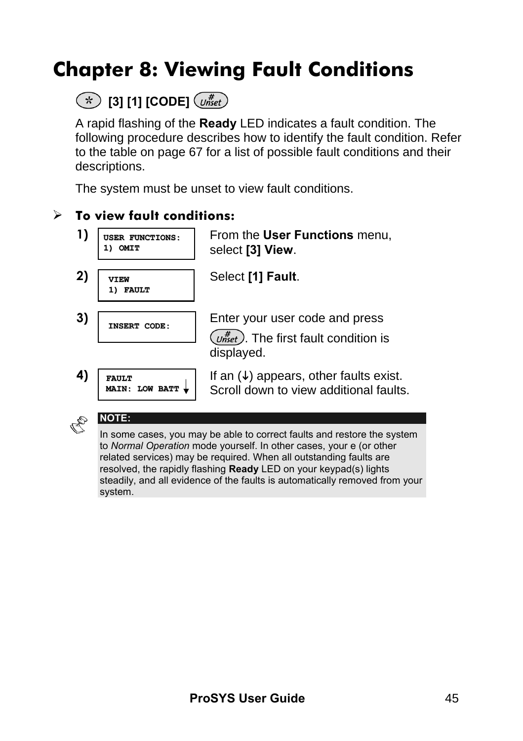# **Chapter 8: Viewing Fault Conditions**

### $(*)$  [3] [1] [CODE]  $\binom{#}{\text{Unset}}$

A rapid flashing of the **Ready** LED indicates a fault condition. The following procedure describes how to identify the fault condition. Refer to the table on page 67 for a list of possible fault conditions and their descriptions.

The system must be unset to view fault conditions.

#### $\blacktriangleright$ **To view fault conditions:**



In some cases, you may be able to correct faults and restore the system to *Normal Operation* mode yourself. In other cases, your e (or other related services) may be required. When all outstanding faults are resolved, the rapidly flashing **Ready** LED on your keypad(s) lights steadily, and all evidence of the faults is automatically removed from your system.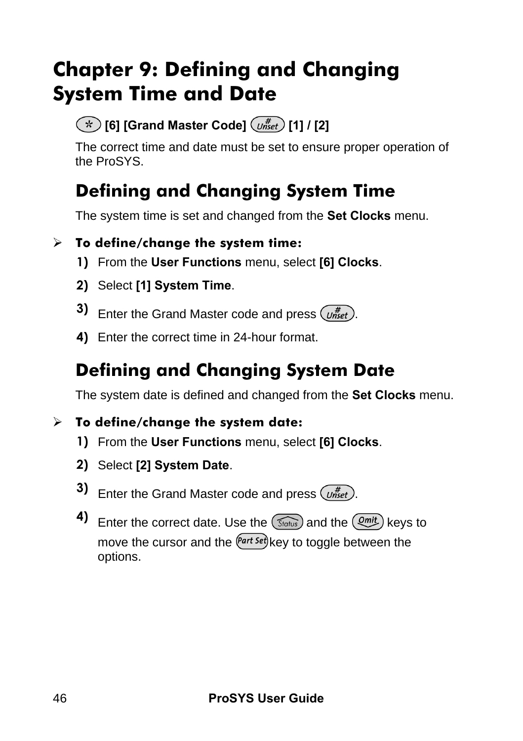# **Chapter 9: Defining and Changing System Time and Date**

### $(\star)$  [6] [Grand Master Code]  $(w\ddot{\bar{t}}_{nset})$  [1] / [2]

The correct time and date must be set to ensure proper operation of the ProSYS.

## **Defining and Changing System Time**

The system time is set and changed from the **Set Clocks** menu.

### **To define/change the system time:**

- **1)** From the **User Functions** menu, select **[6] Clocks**.
- **2)** Select **[1] System Time**.
- **3)** Enter the Grand Master code and press  $(\overline{u}^{\#}_{nset})$ .
- **4)** Enter the correct time in 24-hour format.

# **Defining and Changing System Date**

The system date is defined and changed from the **Set Clocks** menu.

### **To define/change the system date:**

- **1)** From the **User Functions** menu, select **[6] Clocks**.
- **2)** Select **[2] System Date**.
- **3)** Enter the Grand Master code and press  $(w_{nset}^{\#})$ .
- **4)** Enter the correct date. Use the  $\sqrt{\frac{S_{\text{fotts}}}{S_{\text{fours}}}}$  and the  $\left(\frac{Qmit}{Z}\right)$  keys to move the cursor and the  $\sqrt{r}$  and the  $\sqrt{r}$  key to toggle between the options.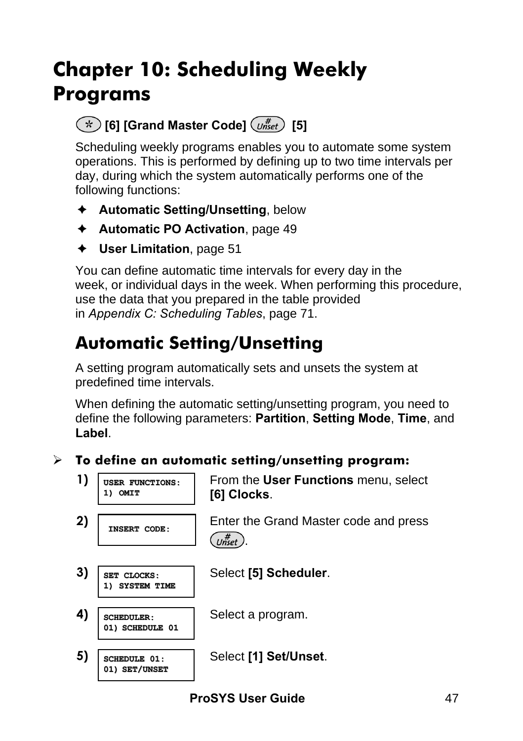# **Chapter 10: Scheduling Weekly Programs**

### $(\star)$  [6] [Grand Master Code]  $(\iota_{\textit{mset}}^{\#})$  [5]

Scheduling weekly programs enables you to automate some system operations. This is performed by defining up to two time intervals per day, during which the system automatically performs one of the following functions:

- **← Automatic Setting/Unsetting, below**
- ◆ Automatic PO Activation, page 49
- ◆ User Limitation, page 51

You can define automatic time intervals for every day in the week, or individual days in the week. When performing this procedure, use the data that you prepared in the table provided in *Appendix C: Scheduling Tables*, page 71.

## **Automatic Setting/Unsetting**

A setting program automatically sets and unsets the system at predefined time intervals.

When defining the automatic setting/unsetting program, you need to define the following parameters: **Partition**, **Setting Mode**, **Time**, and **Label**.

### **To define an automatic setting/unsetting program:**

**1) USER FUNCTIONS: FUNCTIONS: 1) OMIT OMIT** From the **User Functions** menu, select **[6] Clocks**. **2) INSERT CODE:** Enter the Grand Master code and press  $(w<sub>nset</sub><sup>#</sup>)$ . **3) SET CLOCKS: SET CLOCKS: 1) SYSTEM TIME SYSTEM TIME** Select **[5] Scheduler**. **4) SCHEDULER: SCHEDULER: 01) SCHEDULE 01 SCHEDULE**  Select a program. **5) SCHEDULE 01: SCHEDULE 01: 01) SET/UNSET SET/UNSET** Select **[1] Set/Unset**.

**ProSYS User Guide** 47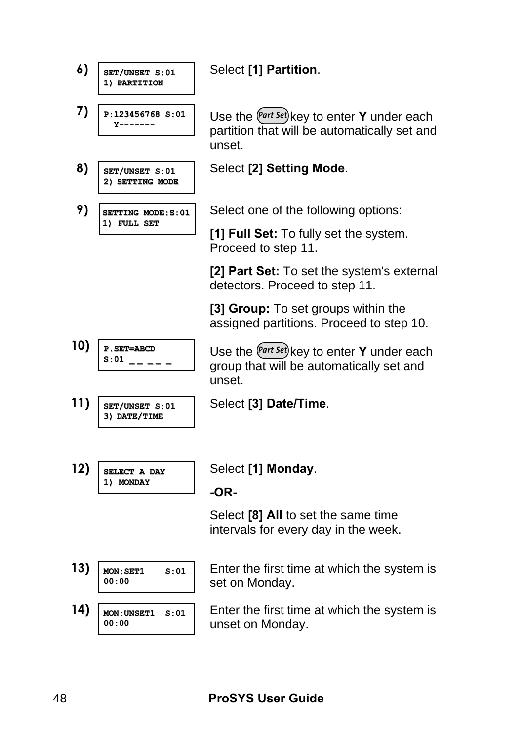**6) SET/UNSET S:01 SET/UNSET S:01 1) PARTITION** Select **[1] Partition**. **7) P:123456768 S:01 S:01 Y------- -------** Use the <sup>(Part set)</sup> key to enter **Y** under each partition that will be automatically set and unset. **8) SET/UNSET S:01 SET/UNSET S:01 2) SETTING MODE** Select **[2] Setting Mode**. **9)** SETTING MODE:  $S:01$ **1) FULL SET 1) FULL SET** Select one of the following options: **[1] Full Set:** To fully set the system. Proceed to step 11. **[2] Part Set:** To set the system's external detectors. Proceed to step 11. **[3] Group:** To set groups within the assigned partitions. Proceed to step 10.  $10)$  **P. SET=ABCD**  $S:01$ Use the <sup>(Part set)</sup> key to enter **Y** under each group that will be automatically set and unset. **11) SET/UNSET S:01 3) DATE/TIME** Select **[3] Date/Time**. **12)**  $\left| \right|$  SELECT A DAY **1) MONDAY MONDAY** Select **[1] Monday**. **-OR-**Select **[8] All** to set the same time intervals for every day in the week. **13) MON:SET1 S:01 MON:SET1 S:01 00:00** Enter the first time at which the system is set on Monday. **14) MON:UNSET1 S:01 S:01 00:00** Enter the first time at which the system is unset on Monday.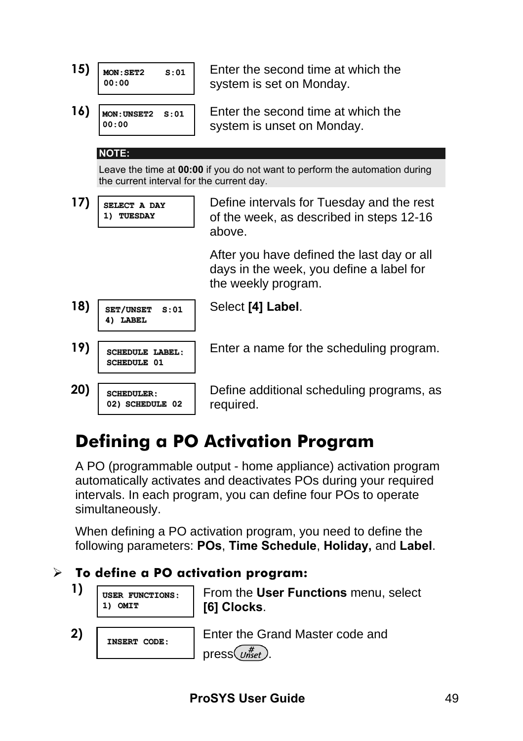**15) MON:SET2 S:01 MON:SET2 S:01 00:00** Enter the second time at which the system is set on Monday. **16) MON:UNSET2 S:01 MON:UNSET2 00:00** Enter the second time at which the system is unset on Monday. **NOTE:**  Leave the time at **00:00** if you do not want to perform the automation during the current interval for the current day. **17) SELECT A DAY A DAY 1) TUESDAY 1) TUESDAY** Define intervals for Tuesday and the rest of the week, as described in steps 12-16 above. After you have defined the last day or all days in the week, you define a label for the weekly program. **18) SET/UNSET S:01 SET/UNSET 4) LABEL 4)**  Select **[4] Label**. **19) SCHEDULE LABEL: LABEL: SCHEDULE 01** Enter a name for the scheduling program. **20) SCHEDULER: 02) SCHEDULE 02** Define additional scheduling programs, as required.

## **Defining a PO Activation Program**

A PO (programmable output - home appliance) activation program automatically activates and deactivates POs during your required intervals. In each program, you can define four POs to operate simultaneously.

When defining a PO activation program, you need to define the following parameters: **POs**, **Time Schedule**, **Holiday,** and **Label**.

#### $\blacktriangleright$ **To define a PO activation program:**

**1) USER FUNCTIONS: USER** 

From the **User Functions** menu, select **[6] Clocks**.

**1) OMIT 1) OMIT**

**2) INSERT CODE:** Enter the Grand Master code and press  $(\nu_{nset}^{\#})$ .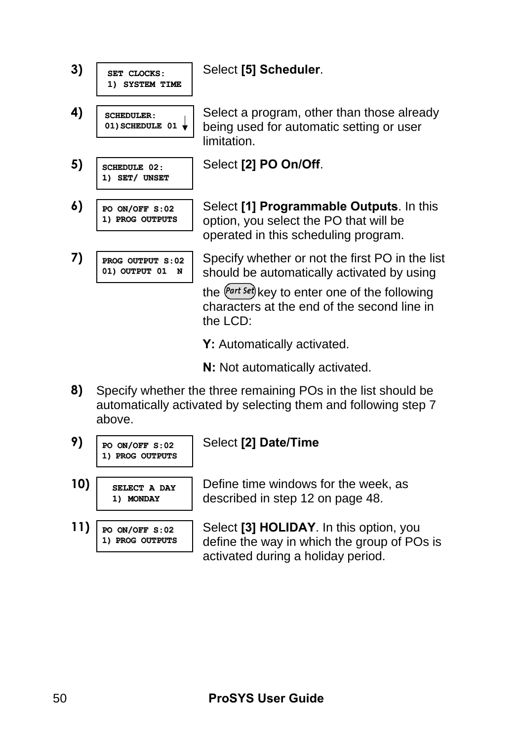

**N:** Not automatically activated.

**8)** Specify whether the three remaining POs in the list should be automatically activated by selecting them and following step 7 above.



### Select **[2] Date/Time**

Define time windows for the week, as described in step 12 on page 48.

Select **[3] HOLIDAY**. In this option, you define the way in which the group of POs is activated during a holiday period.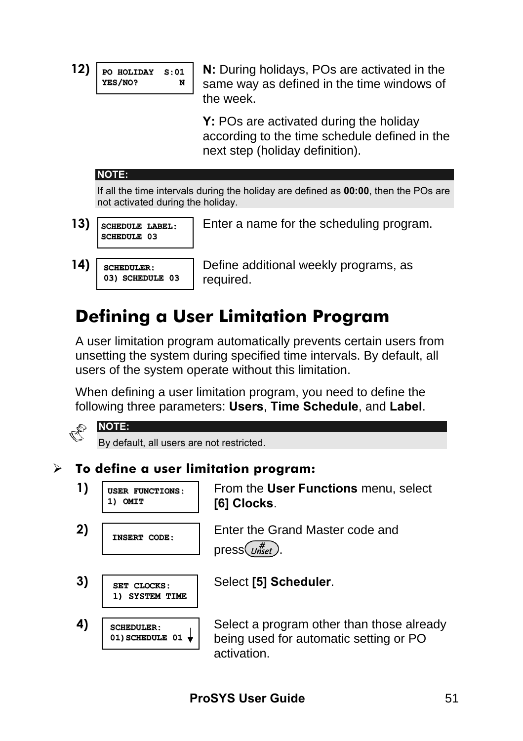| <b>PO HOLIDAY</b> | s:01 |
|-------------------|------|
| <b>YES/NO?</b>    |      |

**N:** During holidays, POs are activated in the same way as defined in the time windows of the week.

**Y:** POs are activated during the holiday according to the time schedule defined in the next step (holiday definition).

### **NOTE:**

If all the time intervals during the holiday are defined as **00:00**, then the POs are not activated during the holiday.

**13) SCHEDULE LABEL:** SCHEDULE 03

Enter a name for the scheduling program.

**14) SCHEDULER: 03) SCHEDULE 03**

 Define additional weekly programs, as required.

# **Defining a User Limitation Program**

A user limitation program automatically prevents certain users from unsetting the system during specified time intervals. By default, all users of the system operate without this limitation.

When defining a user limitation program, you need to define the following three parameters: **Users**, **Time Schedule**, and **Label**.

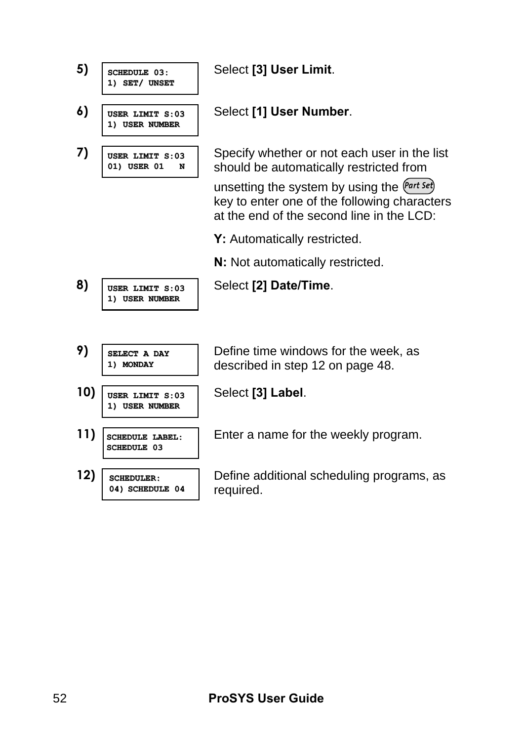| 5)  | <b>SCHEDULE 03:</b><br><b>1) SET/ UNSET</b>  | Select [3] User Limit.                                                                                                                    |
|-----|----------------------------------------------|-------------------------------------------------------------------------------------------------------------------------------------------|
| 6)  | USER LIMIT S:03<br>1) USER NUMBER            | Select [1] User Number.                                                                                                                   |
| 7)  | USER LIMIT S:03<br>01) USER 01<br>N          | Specify whether or not each user in the list<br>should be automatically restricted from                                                   |
|     |                                              | unsetting the system by using the (Part set)<br>key to enter one of the following characters<br>at the end of the second line in the LCD: |
|     |                                              | Y: Automatically restricted.                                                                                                              |
|     |                                              | <b>N:</b> Not automatically restricted.                                                                                                   |
| 8)  | USER LIMIT S:03<br>1) USER NUMBER            | Select [2] Date/Time.                                                                                                                     |
|     |                                              |                                                                                                                                           |
| 9)  | SELECT A DAY<br>1) MONDAY                    | Define time windows for the week, as<br>described in step 12 on page 48.                                                                  |
| 10) | USER LIMIT S:03<br>1) USER NUMBER            | Select [3] Label.                                                                                                                         |
| 11) | <b>SCHEDULE LABEL:</b><br><b>SCHEDULE 03</b> | Enter a name for the weekly program.                                                                                                      |
| 12) | <b>SCHEDULER:</b>                            | Define additional scheduling programs, as                                                                                                 |

required.

**04) SCHEDULE 04**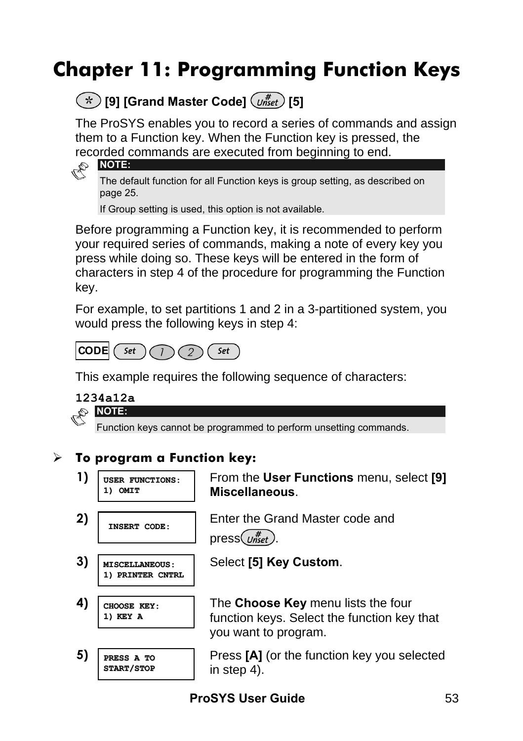# **Chapter 11: Programming Function Keys**

 $(*)$  [9] [Grand Master Code]  $(w_{nset}^{\#})$  [5]

The ProSYS enables you to record a series of commands and assign them to a Function key. When the Function key is pressed, the recorded commands are executed from beginning to end.<br>  $R \otimes \text{NOTE:}$ 



The default function for all Function keys is group setting, as described on page 25.

If Group setting is used, this option is not available.

Before programming a Function key, it is recommended to perform your required series of commands, making a note of every key you press while doing so. These keys will be entered in the form of characters in step 4 of the procedure for programming the Function key.

For example, to set partitions 1 and 2 in a 3-partitioned system, you would press the following keys in step 4:



This example requires the following sequence of characters:

**1234a12a** 



Function keys cannot be programmed to perform unsetting commands.

### **To program a Function key:**

**1) USER FUNCTIONS: USER FUNCTIONS: 1) OMIT OMIT** From the **User Functions** menu, select **[9] Miscellaneous**. **2) INSERT CODE:** Enter the Grand Master code and  $pres( \iota \text{m} H \text{m} e t).$ **3) MISCELLANEOUS: MISCELLANEOUS: 1) PRINTER CNTRL** Select **[5] Key Custom**. **4) CHOOSE KEY: 1) KEY A** The **Choose Key** menu lists the four function keys. Select the function key that you want to program. **5) PRESS A TO PRESS A TO START/STOP** Press **[A]** (or the function key you selected in step 4).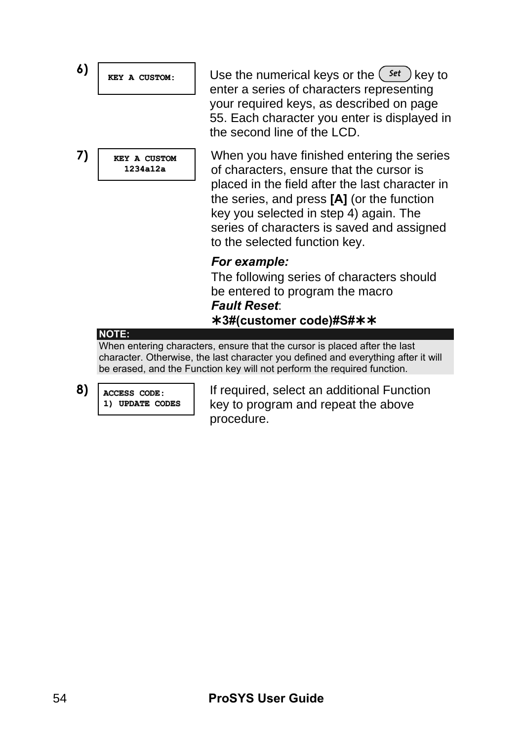

**6)**  $\left| \begin{array}{c} \n\text{KEY A CUSTOM:} \\
\text{EVAL} \\
\text{Use the numerical keys or the } \left( \frac{\text{Set}}{\text{Set}} \right) \text{key to} \n\end{array} \right|$ enter a series of characters representing your required keys, as described on page 55. Each character you enter is displayed in the second line of the LCD.

> When you have finished entering the series of characters, ensure that the cursor is placed in the field after the last character in the series, and press **[A]** (or the function key you selected in step 4) again. The series of characters is saved and assigned to the selected function key.

### *For example:*

The following series of characters should be entered to program the macro *Fault Reset*: ¾**3#(customer code)#S#**¾¾

### **NOTE:**

When entering characters, ensure that the cursor is placed after the last character. Otherwise, the last character you defined and everything after it will be erased, and the Function key will not perform the required function.

**8) ACCESS CODE: 1) UPDATE CODES UPDATE CODES** If required, select an additional Function key to program and repeat the above procedure.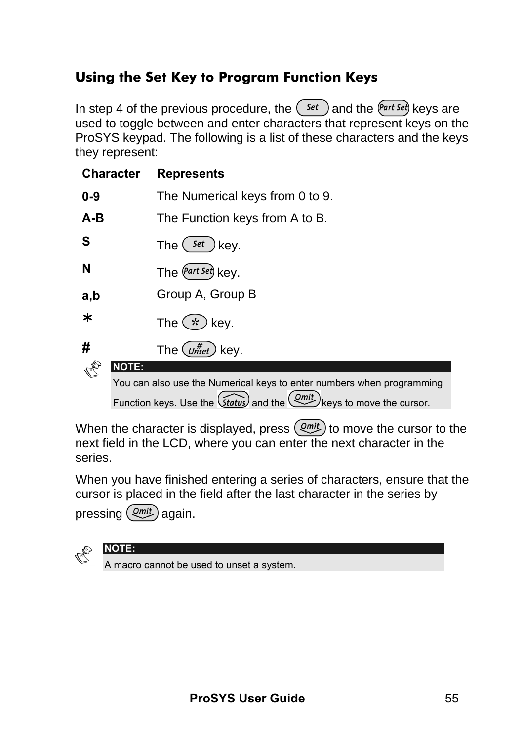### **Using the Set Key to Program Function Keys**

In step 4 of the previous procedure, the  $\binom{\mathsf{Set}}{\mathsf{Set}}$  and the  $\binom{\mathsf{Part}\mathsf{Set}}{\mathsf{Reys}}$  are used to toggle between and enter characters that represent keys on the ProSYS keypad. The following is a list of these characters and the keys they represent:

|        | <b>Character</b> | <b>Represents</b>                                                                        |
|--------|------------------|------------------------------------------------------------------------------------------|
| $0-9$  |                  | The Numerical keys from 0 to 9.                                                          |
| $A-B$  |                  | The Function keys from A to B.                                                           |
| S      |                  | The (<br>Set<br>kev.                                                                     |
| N      |                  | The (Part Set) key.                                                                      |
| a,b    |                  | Group A, Group B                                                                         |
| $\ast$ |                  | The (<br>kev.<br>$\boldsymbol{\pi}$                                                      |
| #      |                  | The $(w_{nset}^{\#})$ key.                                                               |
|        | <b>NOTE:</b>     |                                                                                          |
|        |                  | You can also use the Numerical keys to enter numbers when programming                    |
|        |                  | Function keys. Use the <i>(status)</i> and the <i>(Omit)</i><br>keys to move the cursor. |
|        |                  |                                                                                          |

When the character is displayed, press  $(\frac{Qmit}{dt})$  to move the cursor to the next field in the LCD, where you can enter the next character in the series.

When you have finished entering a series of characters, ensure that the cursor is placed in the field after the last character in the series by pressing  $(\overline{Q_{mit}})$  again.



**NOTE:**  A macro cannot be used to unset a system.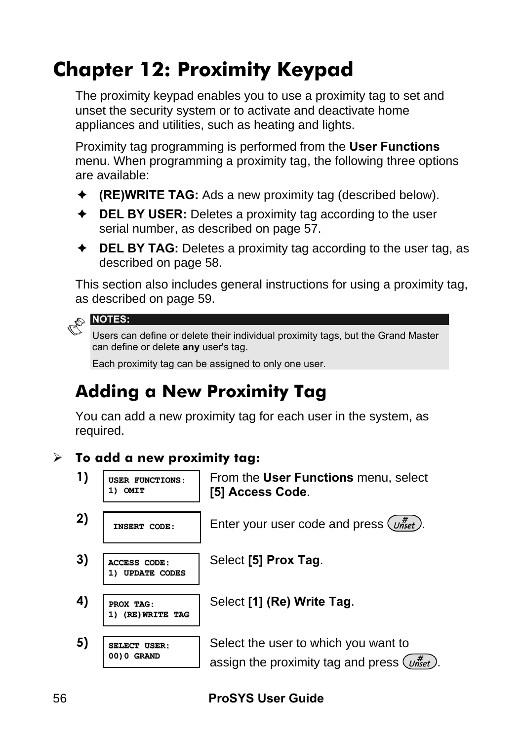# **Chapter 12: Proximity Keypad**

The proximity keypad enables you to use a proximity tag to set and unset the security system or to activate and deactivate home appliances and utilities, such as heating and lights.

Proximity tag programming is performed from the **User Functions** menu. When programming a proximity tag, the following three options are available:

- **← (RE)WRITE TAG:** Ads a new proximity tag (described below).
- ◆ **DEL BY USER:** Deletes a proximity tag according to the user serial number, as described on page 57.
- ◆ **DEL BY TAG:** Deletes a proximity tag according to the user tag, as described on page 58.

This section also includes general instructions for using a proximity tag, as described on page 59.



# **NOTES:**

Users can define or delete their individual proximity tags, but the Grand Master can define or delete **any** user's tag.

Each proximity tag can be assigned to only one user.

# **Adding a New Proximity Tag**

You can add a new proximity tag for each user in the system, as required.

 $\blacktriangleright$ **To add a new proximity tag:** 

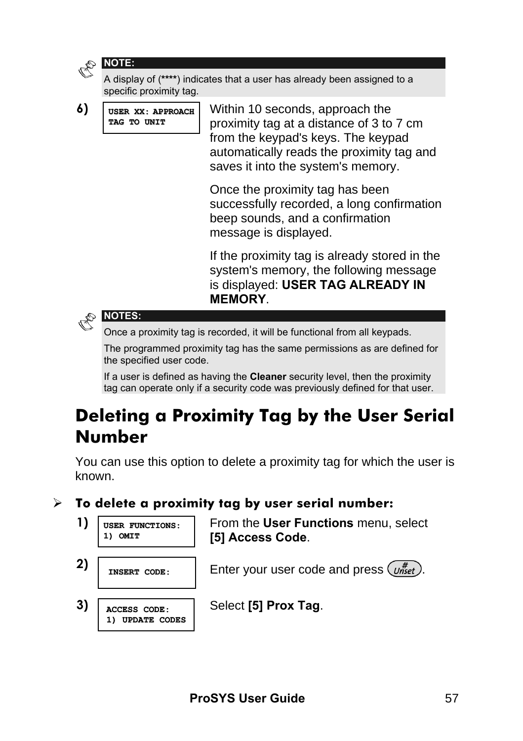| c<br>٠              |  |
|---------------------|--|
| and the contract of |  |
|                     |  |
|                     |  |

**NOTE:** 

A display of (**\*\*\*\***) indicates that a user has already been assigned to a specific proximity tag.

**6) USER XX: XX:APPROACH TAG TO UNIT**

Within 10 seconds, approach the proximity tag at a distance of 3 to 7 cm from the keypad's keys. The keypad automatically reads the proximity tag and saves it into the system's memory.

Once the proximity tag has been successfully recorded, a long confirmation beep sounds, and a confirmation message is displayed.

If the proximity tag is already stored in the system's memory, the following message is displayed: **USER TAG ALREADY IN MEMORY**.



### **NOTES:**

Once a proximity tag is recorded, it will be functional from all keypads.

The programmed proximity tag has the same permissions as are defined for the specified user code.

If a user is defined as having the **Cleaner** security level, then the proximity tag can operate only if a security code was previously defined for that user.

### **Deleting a Proximity Tag by the User Serial Number**

You can use this option to delete a proximity tag for which the user is known.

 $\blacktriangleright$ **To delete a proximity tag by user serial number:** 

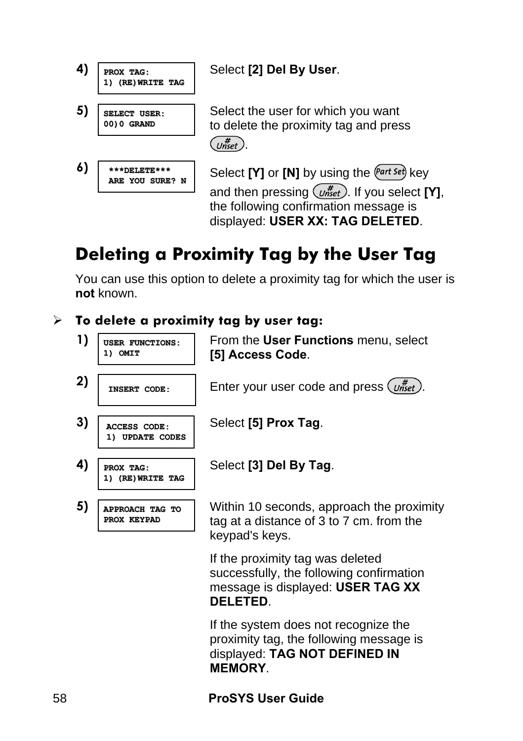

Select **[2] Del By User**.

Select the user for which you want to delete the proximity tag and press  $(w<sub>nset</sub><sup>#</sup>)$ .

**Select <b>[Y]** or **[N]** by using the  $\left(\frac{Part\, Set}{Set}\right)$  key and then pressing  $(w_{nset}^{\#})$ . If you select **[Y]**, the following confirmation message is displayed: **USER XX: TAG DELETED**.

# **Deleting a Proximity Tag by the User Tag**

You can use this option to delete a proximity tag for which the user is **not** known.

#### $\blacktriangleright$ **To delete a proximity tag by user tag:**

**1) USER FUNCTIONS: USER FUNCTIONS: 1) OMIT OMIT 3) ACCESS CODE: 1) UPDATE CODES 4) PROX TAG: 1) (RE)WRITE TAG 5) APPROACH TAG TO TO PROX KEYPAD PROX KEYPAD**

From the **User Functions** menu, select **[5] Access Code**.

**2) INSERT CODE:** Enter your user code and press  $\overline{U_{n,ret}^{\#}}$ 

Select **[5] Prox Tag**.

Select **[3] Del By Tag**.

Within 10 seconds, approach the proximity tag at a distance of 3 to 7 cm. from the keypad's keys.

If the proximity tag was deleted successfully, the following confirmation message is displayed: **USER TAG XX DELETED**.

If the system does not recognize the proximity tag, the following message is displayed: **TAG NOT DEFINED IN MEMORY**.

### 58 **ProSYS User Guide**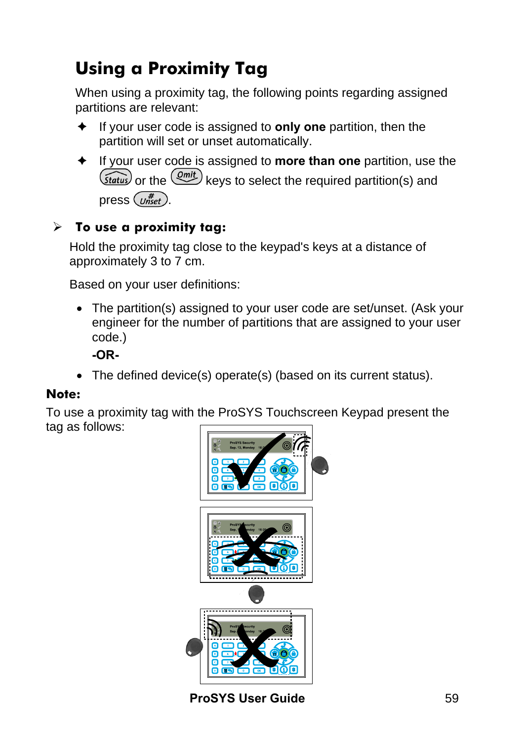# **Using a Proximity Tag**

When using a proximity tag, the following points regarding assigned partitions are relevant:

- Ê If your user code is assigned to **only one** partition, then the partition will set or unset automatically.
- Ê If your user code is assigned to **more than one** partition, use the (*Status*) or the  $\frac{\text{(Omit)}}{\text{(Słatus)}}$  keys to select the required partition(s) and press  $(\overline{w_{\text{mset}}^H})$ .

### **To use a proximity tag:**

Hold the proximity tag close to the keypad's keys at a distance of approximately 3 to 7 cm.

Based on your user definitions:

• The partition(s) assigned to your user code are set/unset. (Ask your engineer for the number of partitions that are assigned to your user code.)

 **-OR-** 

• The defined device(s) operate(s) (based on its current status).

### **Note:**

To use a proximity tag with the ProSYS Touchscreen Keypad present the tag as follows:



**ProSYS User Guide** 59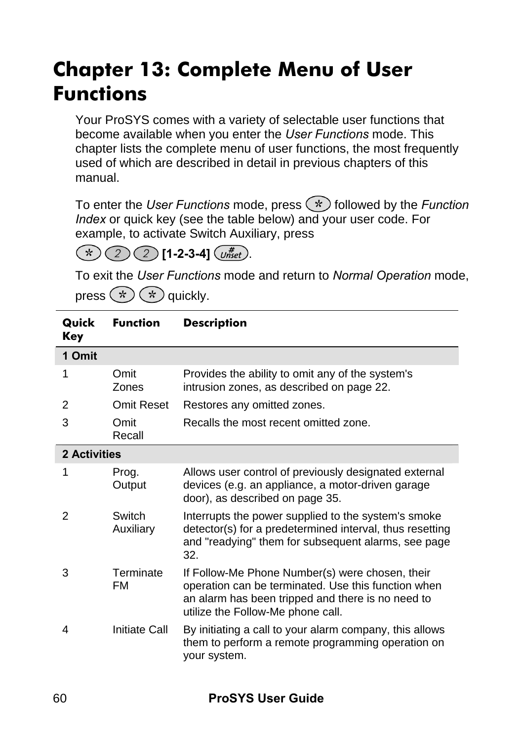# **Chapter 13: Complete Menu of User Functions**

Your ProSYS comes with a variety of selectable user functions that become available when you enter the *User Functions* mode. This chapter lists the complete menu of user functions, the most frequently used of which are described in detail in previous chapters of this manual.

To enter the *User Functions* mode, press  $(*)$  followed by the *Function Index* or quick key (see the table below) and your user code. For example, to activate Switch Auxiliary, press

 $(*)$  (2) (2) [1-2-3-4]  $(\overline{m}_{\text{3det}}^{\text{#}})$ .

To exit the *User Functions* mode and return to *Normal Operation* mode, press  $(*)$   $(*)$  quickly.

| Quick<br>Key        | <b>Function</b>        | <b>Description</b>                                                                                                                                                                               |
|---------------------|------------------------|--------------------------------------------------------------------------------------------------------------------------------------------------------------------------------------------------|
| 1 Omit              |                        |                                                                                                                                                                                                  |
| 1                   | Omit<br>Zones          | Provides the ability to omit any of the system's<br>intrusion zones, as described on page 22.                                                                                                    |
| 2                   | Omit Reset             | Restores any omitted zones.                                                                                                                                                                      |
| 3                   | Omit<br>Recall         | Recalls the most recent omitted zone.                                                                                                                                                            |
| <b>2 Activities</b> |                        |                                                                                                                                                                                                  |
| 1                   | Prog.<br>Output        | Allows user control of previously designated external<br>devices (e.g. an appliance, a motor-driven garage<br>door), as described on page 35.                                                    |
| 2                   | Switch<br>Auxiliary    | Interrupts the power supplied to the system's smoke<br>detector(s) for a predetermined interval, thus resetting<br>and "readying" them for subsequent alarms, see page<br>32.                    |
| 3                   | Terminate<br><b>FM</b> | If Follow-Me Phone Number(s) were chosen, their<br>operation can be terminated. Use this function when<br>an alarm has been tripped and there is no need to<br>utilize the Follow-Me phone call. |
| 4                   | Initiate Call          | By initiating a call to your alarm company, this allows<br>them to perform a remote programming operation on<br>your system.                                                                     |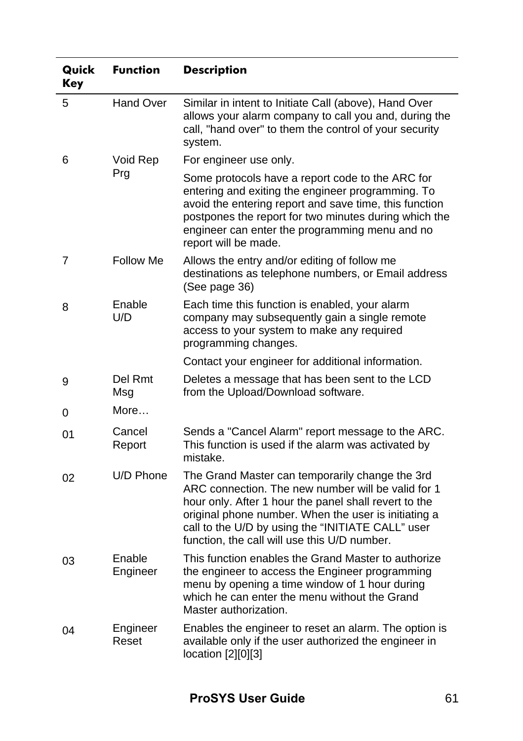| Quick<br><b>Key</b> | <b>Function</b>    | <b>Description</b>                                                                                                                                                                                                                                                                                                          |
|---------------------|--------------------|-----------------------------------------------------------------------------------------------------------------------------------------------------------------------------------------------------------------------------------------------------------------------------------------------------------------------------|
| 5                   | Hand Over          | Similar in intent to Initiate Call (above), Hand Over<br>allows your alarm company to call you and, during the<br>call, "hand over" to them the control of your security<br>system.                                                                                                                                         |
| 6                   | Void Rep           | For engineer use only.                                                                                                                                                                                                                                                                                                      |
|                     | Prg                | Some protocols have a report code to the ARC for<br>entering and exiting the engineer programming. To<br>avoid the entering report and save time, this function<br>postpones the report for two minutes during which the<br>engineer can enter the programming menu and no<br>report will be made.                          |
| 7                   | <b>Follow Me</b>   | Allows the entry and/or editing of follow me<br>destinations as telephone numbers, or Email address<br>(See page 36)                                                                                                                                                                                                        |
| 8                   | Enable<br>U/D      | Each time this function is enabled, your alarm<br>company may subsequently gain a single remote<br>access to your system to make any required<br>programming changes.                                                                                                                                                       |
|                     |                    | Contact your engineer for additional information.                                                                                                                                                                                                                                                                           |
| 9                   | Del Rmt<br>Msg     | Deletes a message that has been sent to the LCD<br>from the Upload/Download software.                                                                                                                                                                                                                                       |
| 0                   | More               |                                                                                                                                                                                                                                                                                                                             |
| 01                  | Cancel<br>Report   | Sends a "Cancel Alarm" report message to the ARC.<br>This function is used if the alarm was activated by<br>mistake.                                                                                                                                                                                                        |
| 02                  | U/D Phone          | The Grand Master can temporarily change the 3rd<br>ARC connection. The new number will be valid for 1<br>hour only. After 1 hour the panel shall revert to the<br>original phone number. When the user is initiating a<br>call to the U/D by using the "INITIATE CALL" user<br>function, the call will use this U/D number. |
| 03                  | Enable<br>Engineer | This function enables the Grand Master to authorize<br>the engineer to access the Engineer programming<br>menu by opening a time window of 1 hour during<br>which he can enter the menu without the Grand<br>Master authorization.                                                                                          |
| 04                  | Engineer<br>Reset  | Enables the engineer to reset an alarm. The option is<br>available only if the user authorized the engineer in<br>location [2][0][3]                                                                                                                                                                                        |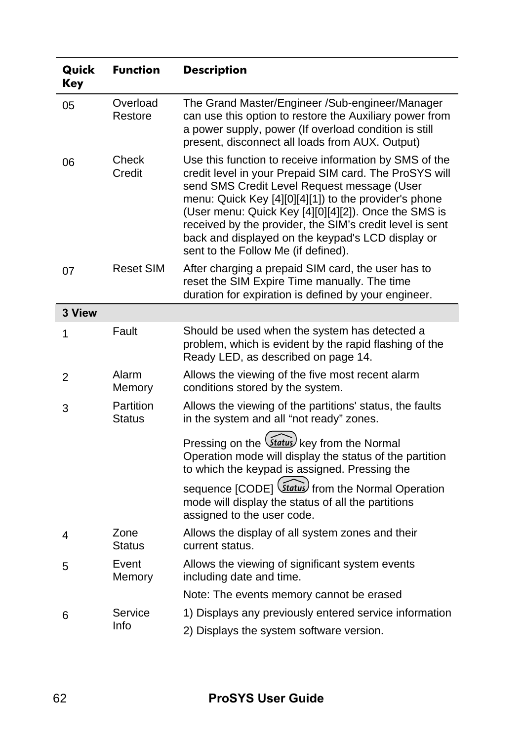| Quick<br><b>Key</b> | <b>Function</b>                          | <b>Description</b>                                                                                                                                                                                                                                                                                                                                                                                                                       |
|---------------------|------------------------------------------|------------------------------------------------------------------------------------------------------------------------------------------------------------------------------------------------------------------------------------------------------------------------------------------------------------------------------------------------------------------------------------------------------------------------------------------|
| 05                  | Overload<br>Restore                      | The Grand Master/Engineer /Sub-engineer/Manager<br>can use this option to restore the Auxiliary power from<br>a power supply, power (If overload condition is still<br>present, disconnect all loads from AUX. Output)                                                                                                                                                                                                                   |
| 06                  | Check<br>Credit                          | Use this function to receive information by SMS of the<br>credit level in your Prepaid SIM card. The ProSYS will<br>send SMS Credit Level Request message (User<br>menu: Quick Key [4][0][4][1]) to the provider's phone<br>(User menu: Quick Key [4][0][4][2]). Once the SMS is<br>received by the provider, the SIM's credit level is sent<br>back and displayed on the keypad's LCD display or<br>sent to the Follow Me (if defined). |
| 07                  | <b>Reset SIM</b>                         | After charging a prepaid SIM card, the user has to<br>reset the SIM Expire Time manually. The time<br>duration for expiration is defined by your engineer.                                                                                                                                                                                                                                                                               |
| 3 View              |                                          |                                                                                                                                                                                                                                                                                                                                                                                                                                          |
| 1                   | Fault                                    | Should be used when the system has detected a<br>problem, which is evident by the rapid flashing of the<br>Ready LED, as described on page 14.                                                                                                                                                                                                                                                                                           |
| 2                   | Alarm<br>Memory                          | Allows the viewing of the five most recent alarm<br>conditions stored by the system.                                                                                                                                                                                                                                                                                                                                                     |
| 3                   | Partition<br><b>Status</b>               | Allows the viewing of the partitions' status, the faults<br>in the system and all "not ready" zones.                                                                                                                                                                                                                                                                                                                                     |
|                     |                                          | Pressing on the <i>Status</i> key from the Normal<br>Operation mode will display the status of the partition<br>to which the keypad is assigned. Pressing the                                                                                                                                                                                                                                                                            |
|                     |                                          | sequence [CODE] <i>(status</i> ) from the Normal Operation<br>mode will display the status of all the partitions<br>assigned to the user code.                                                                                                                                                                                                                                                                                           |
| 4                   | Zone<br><b>Status</b>                    | Allows the display of all system zones and their<br>current status.                                                                                                                                                                                                                                                                                                                                                                      |
| 5                   | Event<br>Memory                          | Allows the viewing of significant system events<br>including date and time.                                                                                                                                                                                                                                                                                                                                                              |
|                     |                                          | Note: The events memory cannot be erased                                                                                                                                                                                                                                                                                                                                                                                                 |
| 6                   | Service<br>Info                          | 1) Displays any previously entered service information                                                                                                                                                                                                                                                                                                                                                                                   |
|                     | 2) Displays the system software version. |                                                                                                                                                                                                                                                                                                                                                                                                                                          |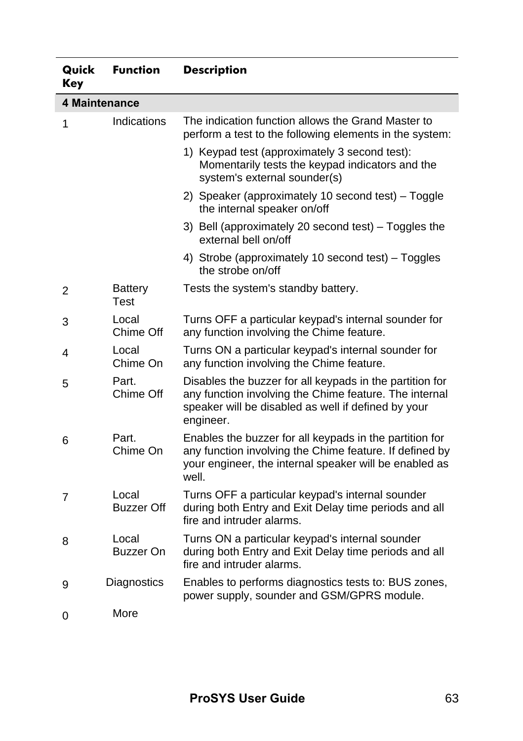| <b>Key</b>     |                               |                                                                                                                                                                                        |
|----------------|-------------------------------|----------------------------------------------------------------------------------------------------------------------------------------------------------------------------------------|
|                | 4 Maintenance                 |                                                                                                                                                                                        |
| 1              | Indications                   | The indication function allows the Grand Master to<br>perform a test to the following elements in the system:                                                                          |
|                |                               | 1) Keypad test (approximately 3 second test):<br>Momentarily tests the keypad indicators and the<br>system's external sounder(s)                                                       |
|                |                               | 2) Speaker (approximately 10 second test) - Toggle<br>the internal speaker on/off                                                                                                      |
|                |                               | 3) Bell (approximately 20 second test) – Toggles the<br>external bell on/off                                                                                                           |
|                |                               | 4) Strobe (approximately 10 second test) - Toggles<br>the strobe on/off                                                                                                                |
| $\overline{2}$ | <b>Battery</b><br><b>Test</b> | Tests the system's standby battery.                                                                                                                                                    |
| 3              | Local<br>Chime Off            | Turns OFF a particular keypad's internal sounder for<br>any function involving the Chime feature.                                                                                      |
| 4              | Local<br>Chime On             | Turns ON a particular keypad's internal sounder for<br>any function involving the Chime feature.                                                                                       |
| 5              | Part.<br>Chime Off            | Disables the buzzer for all keypads in the partition for<br>any function involving the Chime feature. The internal<br>speaker will be disabled as well if defined by your<br>engineer. |
| 6              | Part.<br>Chime On             | Enables the buzzer for all keypads in the partition for<br>any function involving the Chime feature. If defined by<br>your engineer, the internal speaker will be enabled as<br>well.  |
| 7              | Local<br><b>Buzzer Off</b>    | Turns OFF a particular keypad's internal sounder<br>during both Entry and Exit Delay time periods and all<br>fire and intruder alarms.                                                 |
| 8              | Local<br>Buzzer On            | Turns ON a particular keypad's internal sounder<br>during both Entry and Exit Delay time periods and all<br>fire and intruder alarms.                                                  |
| 9              | Diagnostics                   | Enables to performs diagnostics tests to: BUS zones,<br>power supply, sounder and GSM/GPRS module.                                                                                     |
| 0              | More                          |                                                                                                                                                                                        |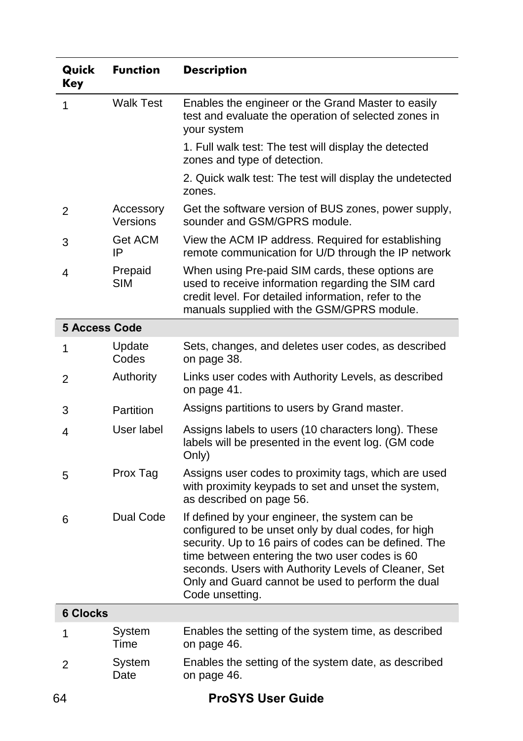| Quick<br>Key         | <b>Function</b>       | <b>Description</b>                                                                                                                                                                                                                                                                                                                               |  |  |  |  |
|----------------------|-----------------------|--------------------------------------------------------------------------------------------------------------------------------------------------------------------------------------------------------------------------------------------------------------------------------------------------------------------------------------------------|--|--|--|--|
| 1                    | <b>Walk Test</b>      | Enables the engineer or the Grand Master to easily<br>test and evaluate the operation of selected zones in<br>your system                                                                                                                                                                                                                        |  |  |  |  |
|                      |                       | 1. Full walk test: The test will display the detected<br>zones and type of detection.                                                                                                                                                                                                                                                            |  |  |  |  |
|                      |                       | 2. Quick walk test: The test will display the undetected<br>zones.                                                                                                                                                                                                                                                                               |  |  |  |  |
| 2                    | Accessory<br>Versions | Get the software version of BUS zones, power supply,<br>sounder and GSM/GPRS module.                                                                                                                                                                                                                                                             |  |  |  |  |
| 3                    | Get ACM<br>IP         | View the ACM IP address. Required for establishing<br>remote communication for U/D through the IP network                                                                                                                                                                                                                                        |  |  |  |  |
| 4                    | Prepaid<br>SIM        | When using Pre-paid SIM cards, these options are<br>used to receive information regarding the SIM card<br>credit level. For detailed information, refer to the<br>manuals supplied with the GSM/GPRS module.                                                                                                                                     |  |  |  |  |
| <b>5 Access Code</b> |                       |                                                                                                                                                                                                                                                                                                                                                  |  |  |  |  |
| 1                    | Update<br>Codes       | Sets, changes, and deletes user codes, as described<br>on page 38.                                                                                                                                                                                                                                                                               |  |  |  |  |
| 2                    | Authority             | Links user codes with Authority Levels, as described<br>on page 41.                                                                                                                                                                                                                                                                              |  |  |  |  |
| 3                    | Partition             | Assigns partitions to users by Grand master.                                                                                                                                                                                                                                                                                                     |  |  |  |  |
| 4                    | User label            | Assigns labels to users (10 characters long). These<br>labels will be presented in the event log. (GM code<br>Only)                                                                                                                                                                                                                              |  |  |  |  |
| 5                    | Prox Tag              | Assigns user codes to proximity tags, which are used<br>with proximity keypads to set and unset the system,<br>as described on page 56.                                                                                                                                                                                                          |  |  |  |  |
| 6                    | Dual Code             | If defined by your engineer, the system can be<br>configured to be unset only by dual codes, for high<br>security. Up to 16 pairs of codes can be defined. The<br>time between entering the two user codes is 60<br>seconds. Users with Authority Levels of Cleaner, Set<br>Only and Guard cannot be used to perform the dual<br>Code unsetting. |  |  |  |  |
| <b>6 Clocks</b>      |                       |                                                                                                                                                                                                                                                                                                                                                  |  |  |  |  |
| 1                    | System<br>Time        | Enables the setting of the system time, as described<br>on page 46.                                                                                                                                                                                                                                                                              |  |  |  |  |
| 2                    | System<br>Date        | Enables the setting of the system date, as described<br>on page 46.                                                                                                                                                                                                                                                                              |  |  |  |  |
| 64                   |                       | <b>ProSYS User Guide</b>                                                                                                                                                                                                                                                                                                                         |  |  |  |  |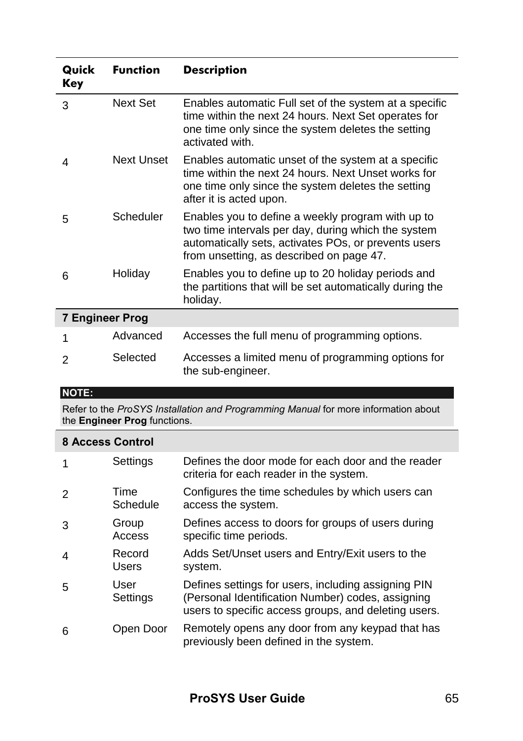| Quick<br>Key    | <b>Function</b> | <b>Description</b>                                                                                                                                                                                           |  |  |
|-----------------|-----------------|--------------------------------------------------------------------------------------------------------------------------------------------------------------------------------------------------------------|--|--|
| 3               | Next Set        | Enables automatic Full set of the system at a specific<br>time within the next 24 hours. Next Set operates for<br>one time only since the system deletes the setting<br>activated with.                      |  |  |
| 4               | Next Unset      | Enables automatic unset of the system at a specific<br>time within the next 24 hours. Next Unset works for<br>one time only since the system deletes the setting<br>after it is acted upon.                  |  |  |
| 5               | Scheduler       | Enables you to define a weekly program with up to<br>two time intervals per day, during which the system<br>automatically sets, activates POs, or prevents users<br>from unsetting, as described on page 47. |  |  |
| 6               | Holiday         | Enables you to define up to 20 holiday periods and<br>the partitions that will be set automatically during the<br>holiday.                                                                                   |  |  |
| 7 Engineer Prog |                 |                                                                                                                                                                                                              |  |  |
| 1               | Advanced        | Accesses the full menu of programming options.                                                                                                                                                               |  |  |
| 2               | Selected        | Accesses a limited menu of programming options for<br>the sub-engineer.                                                                                                                                      |  |  |

### **NOTE:**

Refer to the *ProSYS Installation and Programming Manual* for more information about the **Engineer Prog** functions.

#### **8 Access Control**

| 1              | Settings         | Defines the door mode for each door and the reader<br>criteria for each reader in the system.                                                                    |
|----------------|------------------|------------------------------------------------------------------------------------------------------------------------------------------------------------------|
| 2              | Time<br>Schedule | Configures the time schedules by which users can<br>access the system.                                                                                           |
| 3              | Group<br>Access  | Defines access to doors for groups of users during<br>specific time periods.                                                                                     |
| $\overline{4}$ | Record<br>Users  | Adds Set/Unset users and Entry/Exit users to the<br>system.                                                                                                      |
| 5              | User<br>Settings | Defines settings for users, including assigning PIN<br>(Personal Identification Number) codes, assigning<br>users to specific access groups, and deleting users. |
| 6              | Open Door        | Remotely opens any door from any keypad that has<br>previously been defined in the system.                                                                       |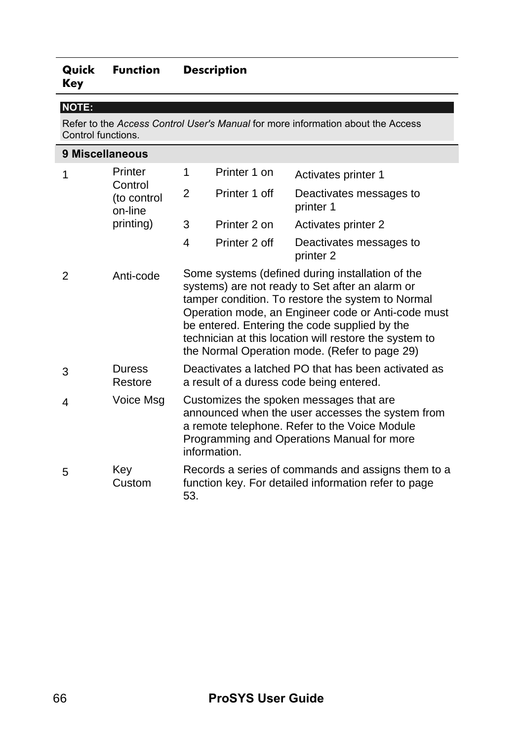#### **Quick Key Function Description**

### **NOTE:**

Refer to the *Access Control User's Manual* for more information about the Access Control functions.

| 9 Miscellaneous |                                              |                                                                                                                                                                                                                                                                                                                                                                            |               |                                                                                                            |  |  |  |
|-----------------|----------------------------------------------|----------------------------------------------------------------------------------------------------------------------------------------------------------------------------------------------------------------------------------------------------------------------------------------------------------------------------------------------------------------------------|---------------|------------------------------------------------------------------------------------------------------------|--|--|--|
| 1               | Printer<br>Control<br>(to control<br>on-line | 1                                                                                                                                                                                                                                                                                                                                                                          | Printer 1 on  | Activates printer 1                                                                                        |  |  |  |
|                 |                                              | $\overline{2}$                                                                                                                                                                                                                                                                                                                                                             | Printer 1 off | Deactivates messages to<br>printer 1                                                                       |  |  |  |
|                 | printing)                                    | 3                                                                                                                                                                                                                                                                                                                                                                          | Printer 2 on  | Activates printer 2                                                                                        |  |  |  |
|                 |                                              | 4                                                                                                                                                                                                                                                                                                                                                                          | Printer 2 off | Deactivates messages to<br>printer 2                                                                       |  |  |  |
| 2               | Anti-code                                    | Some systems (defined during installation of the<br>systems) are not ready to Set after an alarm or<br>tamper condition. To restore the system to Normal<br>Operation mode, an Engineer code or Anti-code must<br>be entered. Entering the code supplied by the<br>technician at this location will restore the system to<br>the Normal Operation mode. (Refer to page 29) |               |                                                                                                            |  |  |  |
| 3               | Duress<br>Restore                            | Deactivates a latched PO that has been activated as<br>a result of a duress code being entered.                                                                                                                                                                                                                                                                            |               |                                                                                                            |  |  |  |
| 4               | Voice Msg                                    | Customizes the spoken messages that are<br>announced when the user accesses the system from<br>a remote telephone. Refer to the Voice Module<br>Programming and Operations Manual for more<br>information.                                                                                                                                                                 |               |                                                                                                            |  |  |  |
| 5               | Key<br>Custom                                | 53.                                                                                                                                                                                                                                                                                                                                                                        |               | Records a series of commands and assigns them to a<br>function key. For detailed information refer to page |  |  |  |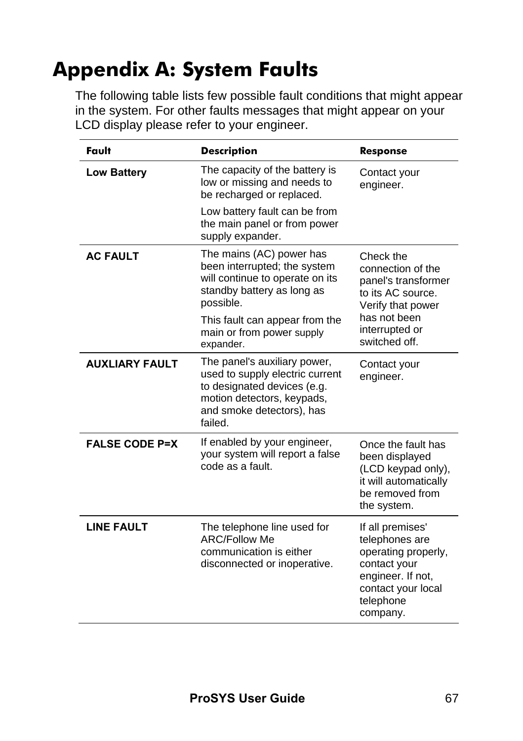# **Appendix A: System Faults**

The following table lists few possible fault conditions that might appear in the system. For other faults messages that might appear on your LCD display please refer to your engineer.

| Fault                 | <b>Description</b>                                                                                                                                                   | <b>Response</b>                                                                                                                               |  |  |
|-----------------------|----------------------------------------------------------------------------------------------------------------------------------------------------------------------|-----------------------------------------------------------------------------------------------------------------------------------------------|--|--|
| <b>Low Battery</b>    | The capacity of the battery is<br>low or missing and needs to<br>be recharged or replaced.                                                                           | Contact your<br>engineer.                                                                                                                     |  |  |
|                       | Low battery fault can be from<br>the main panel or from power<br>supply expander.                                                                                    |                                                                                                                                               |  |  |
| <b>AC FAULT</b>       | The mains (AC) power has<br>been interrupted; the system<br>will continue to operate on its<br>standby battery as long as<br>possible.                               | Check the<br>connection of the<br>panel's transformer<br>to its AC source.<br>Verify that power                                               |  |  |
|                       | This fault can appear from the<br>main or from power supply<br>expander.                                                                                             | has not been<br>interrupted or<br>switched off.                                                                                               |  |  |
| <b>AUXLIARY FAULT</b> | The panel's auxiliary power,<br>used to supply electric current<br>to designated devices (e.g.<br>motion detectors, keypads,<br>and smoke detectors), has<br>failed. | Contact your<br>engineer.                                                                                                                     |  |  |
| <b>FALSE CODE P=X</b> | If enabled by your engineer,<br>your system will report a false<br>code as a fault.                                                                                  | Once the fault has<br>been displayed<br>(LCD keypad only),<br>it will automatically<br>be removed from<br>the system.                         |  |  |
| <b>LINE FAULT</b>     | The telephone line used for<br><b>ARC/Follow Me</b><br>communication is either<br>disconnected or inoperative.                                                       | If all premises'<br>telephones are<br>operating properly,<br>contact your<br>engineer. If not,<br>contact your local<br>telephone<br>company. |  |  |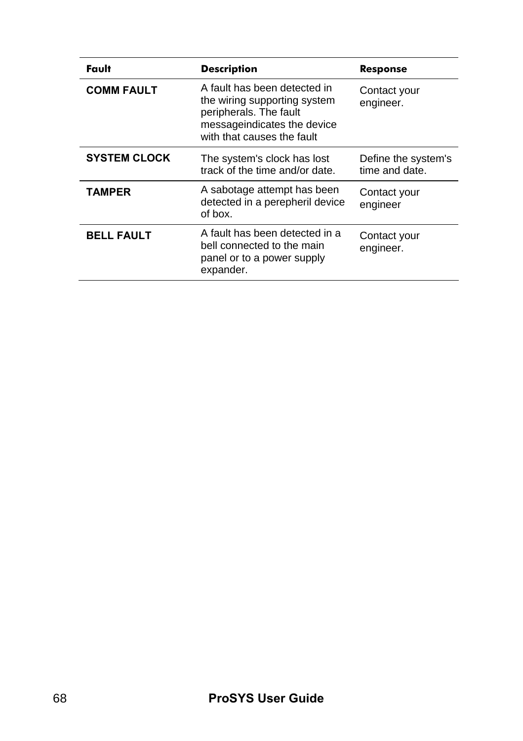| Fault               | <b>Description</b>                                                                                                                                  | Response                              |  |  |
|---------------------|-----------------------------------------------------------------------------------------------------------------------------------------------------|---------------------------------------|--|--|
| <b>COMM FAULT</b>   | A fault has been detected in<br>the wiring supporting system<br>peripherals. The fault<br>messageindicates the device<br>with that causes the fault | Contact your<br>engineer.             |  |  |
| <b>SYSTEM CLOCK</b> | The system's clock has lost<br>track of the time and/or date.                                                                                       | Define the system's<br>time and date. |  |  |
| <b>TAMPER</b>       | A sabotage attempt has been<br>detected in a perepheril device<br>of box.                                                                           | Contact your<br>engineer              |  |  |
| <b>BELL FAULT</b>   | A fault has been detected in a<br>bell connected to the main<br>panel or to a power supply<br>expander.                                             | Contact your<br>engineer.             |  |  |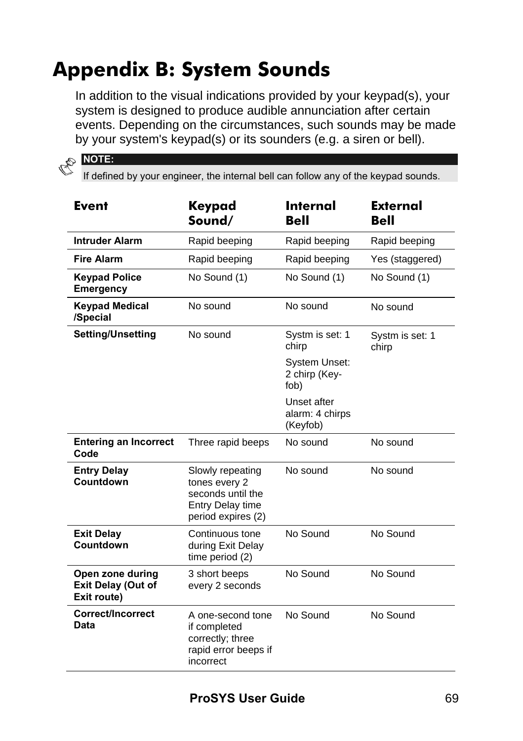# **Appendix B: System Sounds**

In addition to the visual indications provided by your keypad(s), your system is designed to produce audible annunciation after certain events. Depending on the circumstances, such sounds may be made by your system's keypad(s) or its sounders (e.g. a siren or bell).



If defined by your engineer, the internal bell can follow any of the keypad sounds.

| <b>Event</b>                                                 | Keypad<br>Sound/                                                                                 | Internal<br><b>Bell</b>                    | External<br>Bell         |  |
|--------------------------------------------------------------|--------------------------------------------------------------------------------------------------|--------------------------------------------|--------------------------|--|
| <b>Intruder Alarm</b>                                        | Rapid beeping                                                                                    | Rapid beeping                              | Rapid beeping            |  |
| <b>Fire Alarm</b>                                            | Rapid beeping                                                                                    | Rapid beeping                              | Yes (staggered)          |  |
| <b>Keypad Police</b><br>Emergency                            | No Sound (1)                                                                                     | No Sound (1)                               | No Sound (1)             |  |
| <b>Keypad Medical</b><br>/Special                            | No sound                                                                                         | No sound                                   | No sound                 |  |
| Setting/Unsetting                                            | No sound                                                                                         | Systm is set: 1<br>chirp                   | Systm is set: 1<br>chirp |  |
|                                                              |                                                                                                  | System Unset:<br>2 chirp (Key-<br>fob)     |                          |  |
|                                                              |                                                                                                  | Unset after<br>alarm: 4 chirps<br>(Keyfob) |                          |  |
| <b>Entering an Incorrect</b><br>Code                         | Three rapid beeps                                                                                | No sound                                   | No sound                 |  |
| <b>Entry Delay</b><br>Countdown                              | Slowly repeating<br>tones every 2<br>seconds until the<br>Entry Delay time<br>period expires (2) | No sound                                   | No sound                 |  |
| <b>Exit Delay</b><br>Countdown                               | Continuous tone<br>during Exit Delay<br>time period (2)                                          | No Sound                                   | No Sound                 |  |
| Open zone during<br><b>Exit Delay (Out of</b><br>Exit route) | 3 short beeps<br>every 2 seconds                                                                 | No Sound                                   | No Sound                 |  |
| <b>Correct/Incorrect</b><br>Data                             | A one-second tone<br>if completed<br>correctly; three<br>rapid error beeps if<br>incorrect       | No Sound                                   | No Sound                 |  |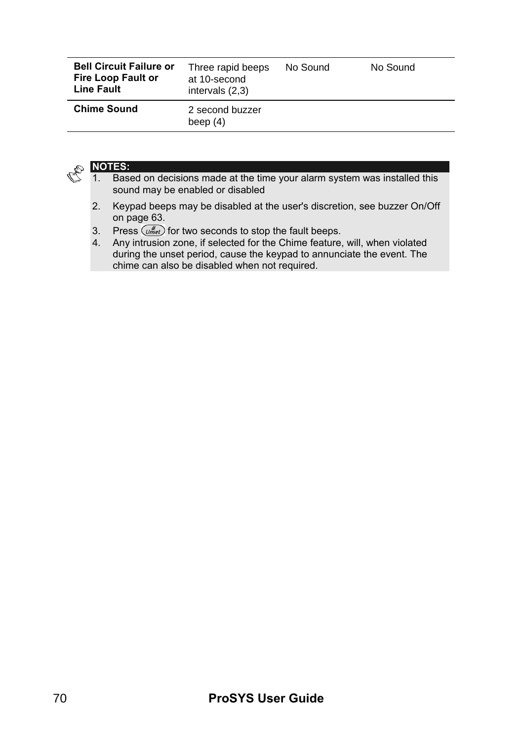| <b>Bell Circuit Failure or</b><br><b>Fire Loop Fault or</b><br><b>Line Fault</b> | Three rapid beeps<br>at 10-second<br>intervals $(2,3)$ | No Sound | No Sound |
|----------------------------------------------------------------------------------|--------------------------------------------------------|----------|----------|
| <b>Chime Sound</b>                                                               | 2 second buzzer<br>beep $(4)$                          |          |          |



- 1. Based on decisions made at the time your alarm system was installed this sound may be enabled or disabled
- 2. Keypad beeps may be disabled at the user's discretion, see buzzer On/Off on page 63.
- 3. Press  $\overline{(\mathcal{F}_{\text{unset}}^{\#})}$  for two seconds to stop the fault beeps.
- 4. Any intrusion zone, if selected for the Chime feature, will, when violated during the unset period, cause the keypad to annunciate the event. The chime can also be disabled when not required.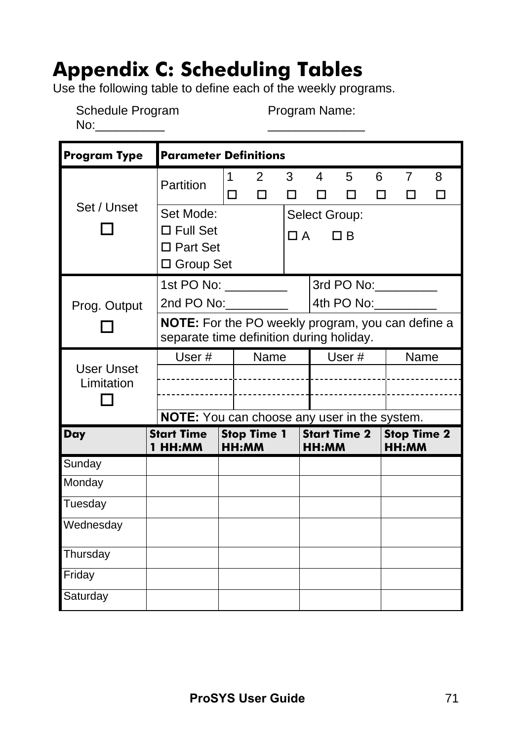# **Appendix C: Scheduling Tables**

Use the following table to define each of the weekly programs.

Schedule Program No:\_\_\_\_\_\_\_\_\_\_

Program Name: \_\_\_\_\_\_\_\_\_\_\_\_\_\_

| <b>Program Type</b> | <b>Parameter Definitions</b>                 |                                                                                               |                             |          |       |                     |   |                             |   |  |
|---------------------|----------------------------------------------|-----------------------------------------------------------------------------------------------|-----------------------------|----------|-------|---------------------|---|-----------------------------|---|--|
|                     | Partition                                    | 1                                                                                             | 2                           | 3        | 4     | 5                   | 6 | $\overline{7}$              | 8 |  |
|                     |                                              | п                                                                                             | $\Box$                      | п        | п     | п                   | п | п                           | п |  |
| Set / Unset         | Set Mode:                                    |                                                                                               |                             |          |       | Select Group:       |   |                             |   |  |
|                     | $\square$ Full Set                           |                                                                                               |                             | $\Box$ A |       | ПB                  |   |                             |   |  |
|                     |                                              | $\Box$ Part Set                                                                               |                             |          |       |                     |   |                             |   |  |
|                     | □ Group Set                                  |                                                                                               |                             |          |       |                     |   |                             |   |  |
|                     | 1st PO No: ________                          |                                                                                               |                             |          |       |                     |   | 3rd PO No:                  |   |  |
| Prog. Output        | 2nd PO No:                                   |                                                                                               |                             |          |       | 4th PO No:          |   |                             |   |  |
|                     |                                              | NOTE: For the PO weekly program, you can define a<br>separate time definition during holiday. |                             |          |       |                     |   |                             |   |  |
|                     | User#                                        | Name                                                                                          |                             |          |       | User#               |   | Name                        |   |  |
| <b>User Unset</b>   |                                              |                                                                                               |                             |          |       |                     |   |                             |   |  |
| Limitation          |                                              |                                                                                               |                             |          |       |                     |   |                             |   |  |
|                     |                                              |                                                                                               |                             |          |       |                     |   |                             |   |  |
|                     | NOTE: You can choose any user in the system. |                                                                                               |                             |          |       |                     |   |                             |   |  |
| <b>Day</b>          | <b>Start Time</b><br>1 HH:MM                 |                                                                                               | <b>Stop Time 1</b><br>HH:MM |          | HH:MM | <b>Start Time 2</b> |   | <b>Stop Time 2</b><br>HH:MM |   |  |
| Sunday              |                                              |                                                                                               |                             |          |       |                     |   |                             |   |  |
| Monday              |                                              |                                                                                               |                             |          |       |                     |   |                             |   |  |
| Tuesday             |                                              |                                                                                               |                             |          |       |                     |   |                             |   |  |
| Wednesday           |                                              |                                                                                               |                             |          |       |                     |   |                             |   |  |
| Thursday            |                                              |                                                                                               |                             |          |       |                     |   |                             |   |  |
| Friday              |                                              |                                                                                               |                             |          |       |                     |   |                             |   |  |
| Saturday            |                                              |                                                                                               |                             |          |       |                     |   |                             |   |  |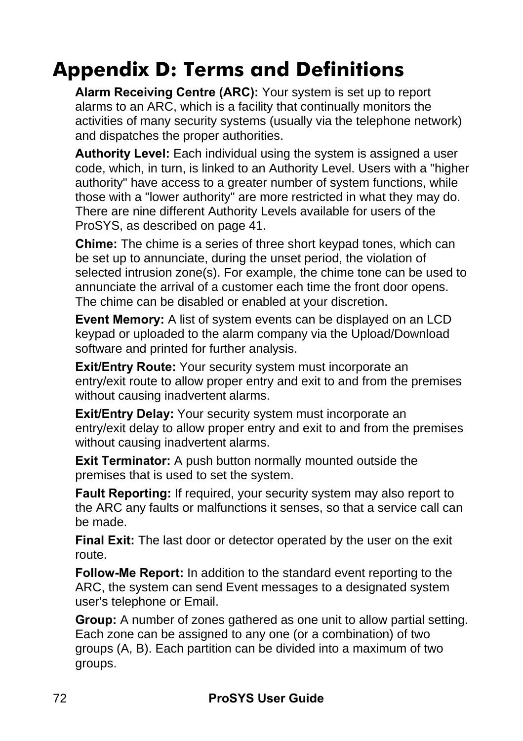# **Appendix D: Terms and Definitions**

**Alarm Receiving Centre (ARC):** Your system is set up to report alarms to an ARC, which is a facility that continually monitors the activities of many security systems (usually via the telephone network) and dispatches the proper authorities.

**Authority Level:** Each individual using the system is assigned a user code, which, in turn, is linked to an Authority Level. Users with a "higher authority" have access to a greater number of system functions, while those with a "lower authority" are more restricted in what they may do. There are nine different Authority Levels available for users of the ProSYS, as described on page 41.

**Chime:** The chime is a series of three short keypad tones, which can be set up to annunciate, during the unset period, the violation of selected intrusion zone(s). For example, the chime tone can be used to annunciate the arrival of a customer each time the front door opens. The chime can be disabled or enabled at your discretion.

**Event Memory:** A list of system events can be displayed on an LCD keypad or uploaded to the alarm company via the Upload/Download software and printed for further analysis.

**Exit/Entry Route:** Your security system must incorporate an entry/exit route to allow proper entry and exit to and from the premises without causing inadvertent alarms.

**Exit/Entry Delay:** Your security system must incorporate an entry/exit delay to allow proper entry and exit to and from the premises without causing inadvertent alarms.

**Exit Terminator:** A push button normally mounted outside the premises that is used to set the system.

**Fault Reporting:** If required, your security system may also report to the ARC any faults or malfunctions it senses, so that a service call can be made.

**Final Exit:** The last door or detector operated by the user on the exit route.

**Follow-Me Report:** In addition to the standard event reporting to the ARC, the system can send Event messages to a designated system user's telephone or Email.

**Group:** A number of zones gathered as one unit to allow partial setting. Each zone can be assigned to any one (or a combination) of two groups (A, B). Each partition can be divided into a maximum of two groups.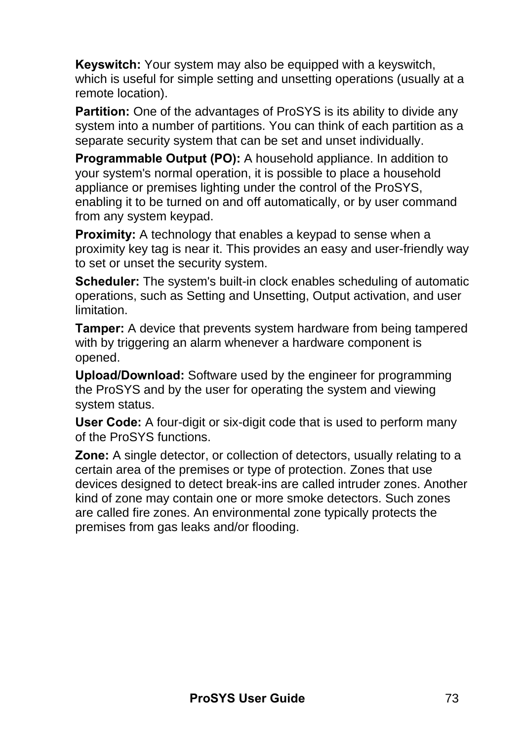**Keyswitch:** Your system may also be equipped with a keyswitch, which is useful for simple setting and unsetting operations (usually at a remote location).

**Partition:** One of the advantages of ProSYS is its ability to divide any system into a number of partitions. You can think of each partition as a separate security system that can be set and unset individually.

**Programmable Output (PO):** A household appliance. In addition to your system's normal operation, it is possible to place a household appliance or premises lighting under the control of the ProSYS, enabling it to be turned on and off automatically, or by user command from any system keypad.

**Proximity:** A technology that enables a keypad to sense when a proximity key tag is near it. This provides an easy and user-friendly way to set or unset the security system.

**Scheduler:** The system's built-in clock enables scheduling of automatic operations, such as Setting and Unsetting, Output activation, and user limitation.

**Tamper:** A device that prevents system hardware from being tampered with by triggering an alarm whenever a hardware component is opened.

**Upload/Download:** Software used by the engineer for programming the ProSYS and by the user for operating the system and viewing system status.

**User Code:** A four-digit or six-digit code that is used to perform many of the ProSYS functions.

**Zone:** A single detector, or collection of detectors, usually relating to a certain area of the premises or type of protection. Zones that use devices designed to detect break-ins are called intruder zones. Another kind of zone may contain one or more smoke detectors*.* Such zones are called fire zones. An environmental zone typically protects the premises from gas leaks and/or flooding.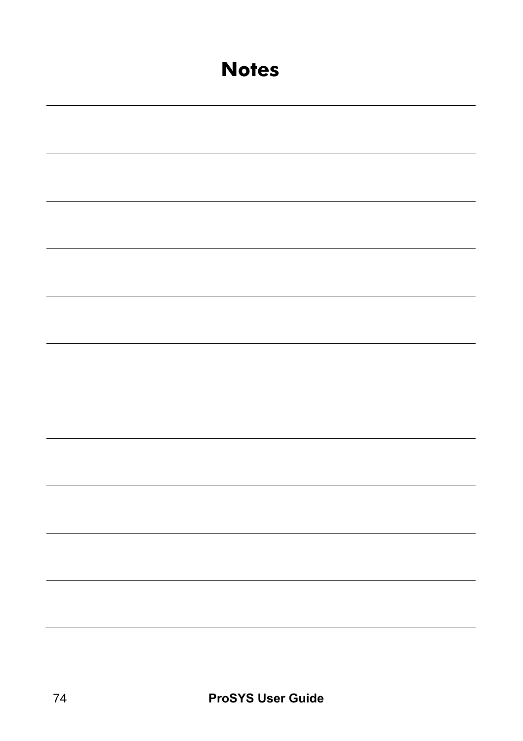| <b>Notes</b> |  |
|--------------|--|
|              |  |
|              |  |
|              |  |
|              |  |
|              |  |
|              |  |
|              |  |
|              |  |
|              |  |
|              |  |
|              |  |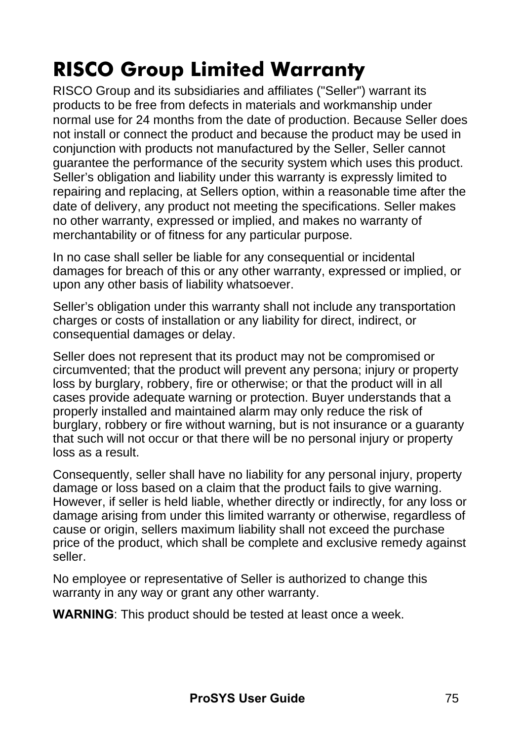## **RISCO Group Limited Warranty**

RISCO Group and its subsidiaries and affiliates ("Seller") warrant its products to be free from defects in materials and workmanship under normal use for 24 months from the date of production. Because Seller does not install or connect the product and because the product may be used in conjunction with products not manufactured by the Seller, Seller cannot guarantee the performance of the security system which uses this product. Seller's obligation and liability under this warranty is expressly limited to repairing and replacing, at Sellers option, within a reasonable time after the date of delivery, any product not meeting the specifications. Seller makes no other warranty, expressed or implied, and makes no warranty of merchantability or of fitness for any particular purpose.

In no case shall seller be liable for any consequential or incidental damages for breach of this or any other warranty, expressed or implied, or upon any other basis of liability whatsoever.

Seller's obligation under this warranty shall not include any transportation charges or costs of installation or any liability for direct, indirect, or consequential damages or delay.

Seller does not represent that its product may not be compromised or circumvented; that the product will prevent any persona; injury or property loss by burglary, robbery, fire or otherwise; or that the product will in all cases provide adequate warning or protection. Buyer understands that a properly installed and maintained alarm may only reduce the risk of burglary, robbery or fire without warning, but is not insurance or a guaranty that such will not occur or that there will be no personal injury or property loss as a result.

Consequently, seller shall have no liability for any personal injury, property damage or loss based on a claim that the product fails to give warning. However, if seller is held liable, whether directly or indirectly, for any loss or damage arising from under this limited warranty or otherwise, regardless of cause or origin, sellers maximum liability shall not exceed the purchase price of the product, which shall be complete and exclusive remedy against seller.

No employee or representative of Seller is authorized to change this warranty in any way or grant any other warranty.

**WARNING**: This product should be tested at least once a week.